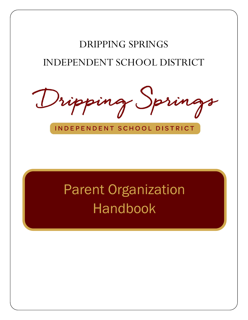# DRIPPING SPRINGS INDEPENDENT SCHOOL DISTRICT

ripping S

INDEPENDENT SCHOOL DISTRICT

# Parent Organization Handbook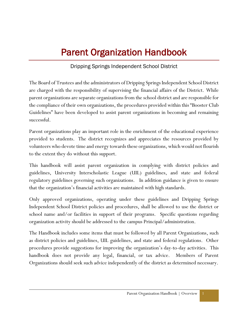# Parent Organization Handbook

# Dripping Springs Independent School District

The Board of Trustees and the administrators of Dripping Springs Independent School District are charged with the responsibility of supervising the financial affairs of the District. While parent organizations are separate organizations from the school district and are responsible for the compliance of their own organizations, the procedures provided within this "Booster Club Guidelines" have been developed to assist parent organizations in becoming and remaining successful.

Parent organizations play an important role in the enrichment of the educational experience provided to students. The district recognizes and appreciates the resources provided by volunteers who devote time and energy towards these organizations, which would not flourish to the extent they do without this support.

This handbook will assist parent organization in complying with district policies and guidelines, University Interscholastic League (UIL) guidelines, and state and federal regulatory guidelines governing such organizations. In addition guidance is given to ensure that the organization's financial activities are maintained with high standards.

Only approved organizations, operating under these guidelines and Dripping Springs Independent School District policies and procedures, shall be allowed to use the district or school name and/or facilities in support of their programs. Specific questions regarding organization activity should be addressed to the campus Principal/administration.

The Handbook includes some items that must be followed by all Parent Organizations, such as district policies and guidelines, UIL guidelines, and state and federal regulations. Other procedures provide suggestions for improving the organization's day-to-day activities. This handbook does not provide any legal, financial, or tax advice. Members of Parent Organizations should seek such advice independently of the district as determined necessary.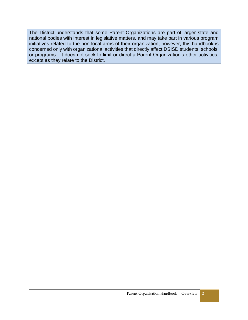The District understands that some Parent Organizations are part of larger state and national bodies with interest in legislative matters, and may take part in various program initiatives related to the non-local arms of their organization; however, this handbook is concerned only with organizational activities that directly affect DSISD students, schools, or programs. It does not seek to limit or direct a Parent Organization's other activities, except as they relate to the District.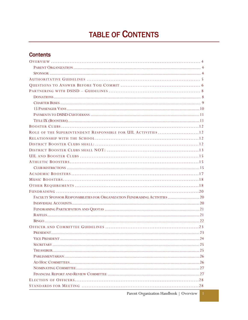# **TABLE OF CONTENTS**

# **Contents**

| ROLE OF THE SUPERINTENDENT RESPONSIBLE FOR UIL ACTIVITIES  12                |
|------------------------------------------------------------------------------|
|                                                                              |
|                                                                              |
|                                                                              |
|                                                                              |
|                                                                              |
|                                                                              |
|                                                                              |
|                                                                              |
|                                                                              |
|                                                                              |
| FACULTY SPONSOR RESPONSIBILITIES FOR ORGANIZATION FUNDRAISING ACTIVITIES  20 |
|                                                                              |
|                                                                              |
|                                                                              |
|                                                                              |
|                                                                              |
|                                                                              |
|                                                                              |
|                                                                              |
|                                                                              |
|                                                                              |
|                                                                              |
|                                                                              |
|                                                                              |
|                                                                              |
|                                                                              |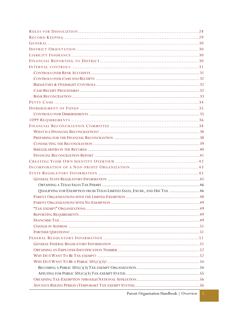| QUALIFYING FOR EXEMPTION FROM TEXAS LIMITED SALES, EXCISE, AND USE TAX  46 |
|----------------------------------------------------------------------------|
|                                                                            |
|                                                                            |
|                                                                            |
|                                                                            |
|                                                                            |
|                                                                            |
|                                                                            |
|                                                                            |
|                                                                            |
|                                                                            |
|                                                                            |
|                                                                            |
|                                                                            |
|                                                                            |
|                                                                            |
|                                                                            |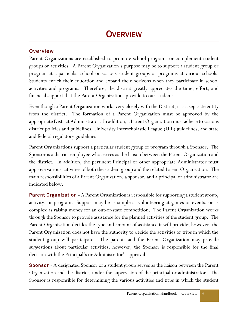# **OVERVIEW**

### <span id="page-6-0"></span>**Overview**

Parent Organizations are established to promote school programs or complement student groups or activities. A Parent Organization's purpose may be to support a student group or program at a particular school or various student groups or programs at various schools. Students enrich their education and expand their horizons when they participate in school activities and programs. Therefore, the district greatly appreciates the time, effort, and financial support that the Parent Organizations provide to our students.

Even though a Parent Organization works very closely with the District, it is a separate entity from the district. The formation of a Parent Organization must be approved by the appropriate District Administrator. In addition, a Parent Organization must adhere to various district policies and guidelines, University Interscholastic League (UIL) guidelines, and state and federal regulatory guidelines.

Parent Organizations support a particular student group or program through a Sponsor. The Sponsor is a district employee who serves as the liaison between the Parent Organization and the district. In addition, the pertinent Principal or other appropriate Administrator must approve various activities of both the student group and the related Parent Organization. The main responsibilities of a Parent Organization, a sponsor, and a principal or administrator are indicated below:

<span id="page-6-1"></span>**Parent Organization** - A Parent Organization is responsible for supporting a student group, activity, or program. Support may be as simple as volunteering at games or events, or as complex as raising money for an out-of-state competition. The Parent Organization works through the Sponsor to provide assistance for the planned activities of the student group. The Parent Organization decides the type and amount of assistance it will provide; however, the Parent Organization does not have the authority to decide the activities or trips in which the student group will participate. The parents and the Parent Organization may provide suggestions about particular activities; however, the Sponsor is responsible for the final decision with the Principal's or Administrator's approval.

<span id="page-6-2"></span>Sponsor - A designated Sponsor of a student group serves as the liaison between the Parent Organization and the district, under the supervision of the principal or administrator. The Sponsor is responsible for determining the various activities and trips in which the student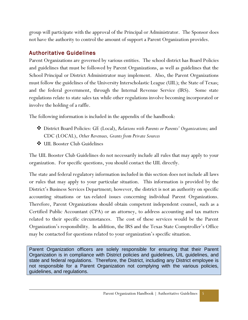group will participate with the approval of the Principal or Administrator. The Sponsor does not have the authority to control the amount of support a Parent Organization provides.

# <span id="page-7-0"></span>Authoritative Guidelines

Parent Organizations are governed by various entities. The school district has Board Policies and guidelines that must be followed by Parent Organizations, as well as guidelines that the School Principal or District Administrator may implement. Also, the Parent Organizations must follow the guidelines of the University Interscholastic League (UIL); the State of Texas; and the federal government, through the Internal Revenue Service (IRS). Some state regulations relate to state sales tax while other regulations involve becoming incorporated or involve the holding of a raffle.

The following information is included in the appendix of the handbook:

- District Board Policies: GE (Local), *Relations with Parents or Parents' Organizations;* and CDC (LOCAL), *Other Revenues, Grants from Private Sources*
- UIL Booster Club Guidelines

The UIL Booster Club Guidelines do not necessarily include all rules that may apply to your organization. For specific questions, you should contact the UIL directly.

The state and federal regulatory information included in this section does not include all laws or rules that may apply to your particular situation. This information is provided by the District's Business Services Department; however, the district is not an authority on specific accounting situations or tax-related issues concerning individual Parent Organizations. Therefore, Parent Organizations should obtain competent independent counsel, such as a Certified Public Accountant (CPA) or an attorney, to address accounting and tax matters related to their specific circumstances. The cost of these services would be the Parent Organization's responsibility. In addition, the IRS and the Texas State Comptroller's Office may be contacted for questions related to your organization's specific situation.

Parent Organization officers are solely responsible for ensuring that their Parent Organization is in compliance with District policies and guidelines, UIL guidelines, and state and federal regulations. Therefore, the District, including any District employee is not responsible for a Parent Organization not complying with the various policies, guidelines, and regulations.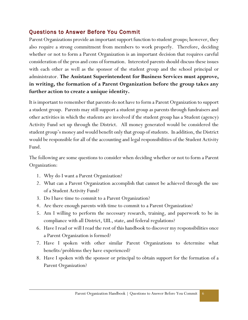# <span id="page-8-0"></span>Questions to Answer Before You Commit

Parent Organizations provide an important support function to student groups; however, they also require a strong commitment from members to work properly. Therefore, deciding whether or not to form a Parent Organization is an important decision that requires careful consideration of the pros and cons of formation. Interested parents should discuss these issues with each other as well as the sponsor of the student group and the school principal or administrator. **The Assistant Superintendent for Business Services must approve, in writing, the formation of a Parent Organization before the group takes any further action to create a unique identity.**

It is important to remember that parents do not have to form a Parent Organization to support a student group. Parents may still support a student group as parents through fundraisers and other activities in which the students are involved if the student group has a Student (agency) Activity Fund set up through the District. All money generated would be considered the student group's money and would benefit only that group of students. In addition, the District would be responsible for all of the accounting and legal responsibilities of the Student Activity Fund.

The following are some questions to consider when deciding whether or not to form a Parent Organization:

- 1. Why do I want a Parent Organization?
- 2. What can a Parent Organization accomplish that cannot be achieved through the use of a Student Activity Fund?
- 3. Do I have time to commit to a Parent Organization?
- 4. Are there enough parents with time to commit to a Parent Organization?
- 5. Am I willing to perform the necessary research, training, and paperwork to be in compliance with all District, UIL, state, and federal regulations?
- 6. Have I read or will I read the rest of this handbook to discover my responsibilities once a Parent Organization is formed?
- 7. Have I spoken with other similar Parent Organizations to determine what benefits/problems they have experienced?
- 8. Have I spoken with the sponsor or principal to obtain support for the formation of a Parent Organization?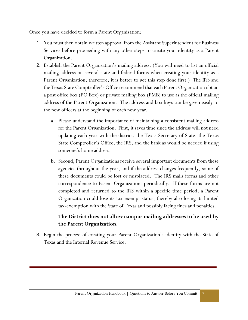Once you have decided to form a Parent Organization:

- 1. You must then obtain written approval from the Assistant Superintendent for Business Services before proceeding with any other steps to create your identity as a Parent Organization.
- 2. Establish the Parent Organization's mailing address. (You will need to list an official mailing address on several state and federal forms when creating your identity as a Parent Organization; therefore, it is better to get this step done first.) The IRS and the Texas State Comptroller's Office recommend that each Parent Organization obtain a post office box (PO Box) or private mailing box (PMB) to use as the official mailing address of the Parent Organization. The address and box keys can be given easily to the new officers at the beginning of each new year.
	- a. Please understand the importance of maintaining a consistent mailing address for the Parent Organization. First, it saves time since the address will not need updating each year with the district, the Texas Secretary of State, the Texas State Comptroller's Office, the IRS, and the bank as would be needed if using someone's home address.
	- b. Second, Parent Organizations receive several important documents from these agencies throughout the year, and if the address changes frequently, some of these documents could be lost or misplaced. The IRS mails forms and other correspondence to Parent Organizations periodically. If these forms are not completed and returned to the IRS within a specific time period, a Parent Organization could lose its tax-exempt status, thereby also losing its limited tax-exemption with the State of Texas and possibly facing fines and penalties.

### **The District does not allow campus mailing addresses to be used by the Parent Organization.**

3. Begin the process of creating your Parent Organization's identity with the State of Texas and the Internal Revenue Service.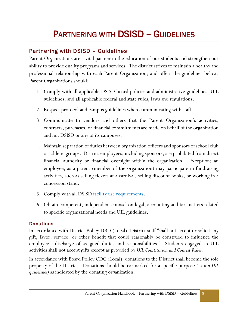# PARTNERING WITH DSISD – GUIDELINES

# <span id="page-10-0"></span>Partnering with DSISD – Guidelines

Parent Organizations are a vital partner in the education of our students and strengthen our ability to provide quality programs and services. The district strives to maintain a healthy and professional relationship with each Parent Organization, and offers the guidelines below. Parent Organizations should:

- 1. Comply with all applicable DSISD board policies and administrative guidelines, UIL guidelines, and all applicable federal and state rules, laws and regulations;
- 2. Respect protocol and campus guidelines when communicating with staff.
- 3. Communicate to vendors and others that the Parent Organization's activities, contracts, purchases, or financial commitments are made on behalf of the organization and not DSISD or any of its campuses.
- 4. Maintain separation of duties between organization officers and sponsors of school club or athletic groups. District employees, including sponsors, are prohibited from direct financial authority or financial oversight within the organization. Exception: an employee, as a parent (member of the organization) may participate in fundraising activities, such as selling tickets at a carnival, selling discount books, or working in a concession stand.
- 5. Comply with all DSISD <u>facility use requirements</u>.
- 6. Obtain competent, independent counsel on legal, accounting and tax matters related to specific organizational needs and UIL guidelines.

#### <span id="page-10-1"></span>**Donations**

In accordance with District Policy DBD (Local), District staff "shall not accept or solicit any gift, favor, service, or other benefit that could reasonably be construed to influence the employee's discharge of assigned duties and responsibilities." Students engaged in UIL activities shall not accept gifts except as provided by *UIL Constitution and Contest Rules.*

In accordance with Board Policy CDC (Local), donations to the District shall become the sole property of the District. Donations should be earmarked for a specific purpose *(within UIL guidelines)* as indicated by the donating organization.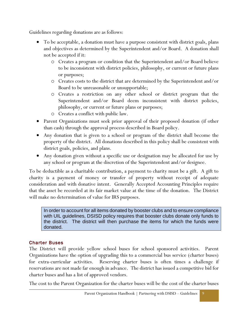Guidelines regarding donations are as follows:

- To be acceptable, a donation must have a purpose consistent with district goals, plans and objectives as determined by the Superintendent and/or Board. A donation shall not be accepted if it:
	- o Creates a program or condition that the Superintendent and/or Board believe to be inconsistent with district policies, philosophy, or current or future plans or purposes;
	- o Creates costs to the district that are determined by the Superintendent and/or Board to be unreasonable or unsupportable;
	- o Creates a restriction on any other school or district program that the Superintendent and/or Board deem inconsistent with district policies, philosophy, or current or future plans or purposes;
	- o Creates a conflict with public law.
- Parent Organizations must seek prior approval of their proposed donation (if other than cash) through the approval process described in Board policy.
- Any donation that is given to a school or program of the district shall become the property of the district. All donations described in this policy shall be consistent with district goals, policies, and plans.
- Any donation given without a specific use or designation may be allocated for use by any school or program at the discretion of the Superintendent and/or designee.

To be deductible as a charitable contribution, a payment to charity must be a gift. A gift to charity is a payment of money or transfer of property without receipt of adequate consideration and with donative intent. Generally Accepted Accounting Principles require that the asset be recorded at its fair market value at the time of the donation. The District will make no determination of value for IRS purposes.

In order to account for all items donated by booster clubs and to ensure compliance with UIL guidelines, DSISD policy requires that booster clubs donate only funds to the district. The district will then purchase the items for which the funds were donated.

#### <span id="page-11-0"></span>Charter Buses

The District will provide yellow school buses for school sponsored activities. Parent Organizations have the option of upgrading this to a commercial bus service (charter buses) for extra-curricular activities. Reserving charter buses is often times a challenge if reservations are not made far enough in advance. The district has issued a competitive bid for charter buses and has a list of approved vendors.

The cost to the Parent Organization for the charter buses will be the cost of the charter buses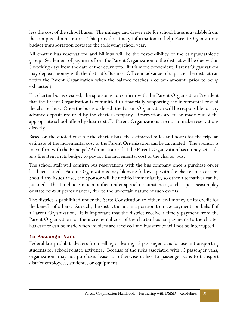less the cost of the school buses. The mileage and driver rate for school buses is available from the campus administrator. This provides timely information to help Parent Organizations budget transportation costs for the following school year.

All charter bus reservations and billings will be the responsibility of the campus/athletic group. Settlement of payments from the Parent Organization to the district will be due within 5 working days from the date of the return trip. If it is more convenient, Parent Organizations may deposit money with the district's Business Office in advance of trips and the district can notify the Parent Organization when the balance reaches a certain amount (prior to being exhausted).

If a charter bus is desired, the sponsor is to confirm with the Parent Organization President that the Parent Organization is committed to financially supporting the incremental cost of the charter bus. Once the bus is ordered, the Parent Organization will be responsible for any advance deposit required by the charter company. Reservations are to be made out of the appropriate school office by district staff. Parent Organizations are not to make reservations directly.

Based on the quoted cost for the charter bus, the estimated miles and hours for the trip, an estimate of the incremental cost to the Parent Organization can be calculated. The sponsor is to confirm with the Principal/Administrator that the Parent Organization has money set aside as a line item in its budget to pay for the incremental cost of the charter bus.

The school staff will confirm bus reservations with the bus company once a purchase order has been issued. Parent Organizations may likewise follow up with the charter bus carrier. Should any issues arise, the Sponsor will be notified immediately, so other alternatives can be pursued. This timeline can be modified under special circumstances, such as post-season play or state contest performances, due to the uncertain nature of such events.

The district is prohibited under the State Constitution to either lend money or its credit for the benefit of others. As such, the district is not in a position to make payments on behalf of a Parent Organization. It is important that the district receive a timely payment from the Parent Organization for the incremental cost of the charter bus, so payments to the charter bus carrier can be made when invoices are received and bus service will not be interrupted.

#### <span id="page-12-0"></span>15 Passenger Vans

Federal law prohibits dealers from selling or leasing 15 passenger vans for use in transporting students for school related activities. Because of the risks associated with 15 passenger vans, organizations may not purchase, lease, or otherwise utilize 15 passenger vans to transport district employees, students, or equipment.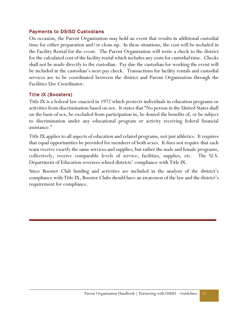#### <span id="page-13-0"></span>Payments to DSISD Custodians

On occasion, the Parent Organization may hold an event that results in additional custodial time for either preparation and/or clean-up. In these situations, the cost will be included in the Facility Rental for the event. The Parent Organization will write a check to the district for the calculated cost of the facility rental which includes any costs for custodial time. Checks shall not be made directly to the custodian. Pay due the custodian for working the event will be included in the custodian's next pay check. Transactions for facility rentals and custodial services are to be coordinated between the district and Parent Organization through the Facilities Use Coordinator.

#### <span id="page-13-1"></span>Title IX (Boosters)

Title IX is a federal law enacted in 1972 which protects individuals in education programs or activities from discrimination based on sex. It states that "No person in the United States shall on the basis of sex, be excluded from participation in, be denied the benefits of, or be subject to discrimination under any educational program or activity receiving federal financial assistance."

Title IX applies to all aspects of education and related programs, not just athletics. It requires that equal opportunities be provided for members of both sexes. It does not require that each team receive exactly the same services and supplies, but rather the male and female programs, collectively, receive comparable levels of service, facilities, supplies, etc. The U.S. Department of Education oversees school districts' compliance with Title IX.

Since Booster Club funding and activities are included in the analysis of the district's compliance with Title IX, Booster Clubs should have an awareness of the law and the district's requirement for compliance.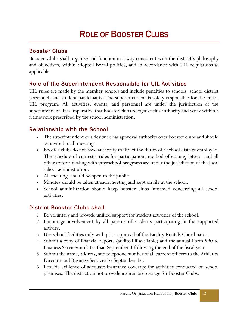# ROLE OF BOOSTER CLUBS

# <span id="page-14-0"></span>Booster Clubs

Booster Clubs shall organize and function in a way consistent with the district's philosophy and objectives, within adopted Board policies, and in accordance with UIL regulations as applicable.

# <span id="page-14-1"></span>Role of the Superintendent Responsible for UIL Activities

UIL rules are made by the member schools and include penalties to schools, school district personnel, and student participants. The superintendent is solely responsible for the entire UIL program. All activities, events, and personnel are under the jurisdiction of the superintendent. It is imperative that booster clubs recognize this authority and work within a framework prescribed by the school administration.

# <span id="page-14-2"></span>Relationship with the School

- The superintendent or a designee has approval authority over booster clubs and should be invited to all meetings.
- Booster clubs do not have authority to direct the duties of a school district employee. The schedule of contests, rules for participation, method of earning letters, and all other criteria dealing with interschool programs are under the jurisdiction of the local school administration.
- All meetings should be open to the public.
- Minutes should be taken at each meeting and kept on file at the school.
- School administration should keep booster clubs informed concerning all school activities.

# <span id="page-14-3"></span>District Booster Clubs shall:

- 1. Be voluntary and provide unified support for student activities of the school.
- 2. Encourage involvement by all parents of students participating in the supported activity.
- 3. Use school facilities only with prior approval of the Facility Rentals Coordinator.
- 4. Submit a copy of financial reports (audited if available) and the annual Form 990 to Business Services no later than September 1 following the end of the fiscal year.
- 5. Submit the name, address, and telephone number of all current officers to the Athletics Director and Business Services by September 1st.
- 6. Provide evidence of adequate insurance coverage for activities conducted on school premises. The district cannot provide insurance coverage for Booster Clubs.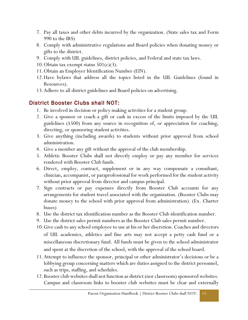- 7. Pay all taxes and other debts incurred by the organization. (State sales tax and Form 990 to the IRS)
- 8. Comply with administrative regulations and Board policies when donating money or gifts to the district.
- 9. Comply with UIL guidelines, district policies, and Federal and state tax laws.
- 10. Obtain tax exempt status  $501(c)(3)$ .
- 11.Obtain an Employer Identification Number (EIN).
- 12.Have bylaws that address all the topics listed in the UIL Guidelines (found in Resources).
- 13.Adhere to all district guidelines and Board policies on advertising.

# <span id="page-15-0"></span>District Booster Clubs shall NOT:

- 1. Be involved in decision or policy making activities for a student group.
- 2. Give a sponsor or coach a gift or cash in excess of the limits imposed by the UIL guidelines (\$500) from any source in recognition of, or appreciation for coaching, directing, or sponsoring student activities.
- 3. Give anything (including awards) to students without prior approval from school administration.
- 4. Give a member any gift without the approval of the club membership.
- 5. Athletic Booster Clubs shall not directly employ or pay any member for services rendered with Booster Club funds.
- 6. Direct, employ, contract, supplement or in any way compensate a consultant, clinician, accompanist, or paraprofessional for work performed for the student activity without prior approval from director and campus principal.
- 7. Sign contracts or pay expenses directly from Booster Club accounts for any arrangements for student travel associated with the organization. (Booster Clubs may donate money to the school with prior approval from administration). (Ex. Charter buses)
- 8. Use the district tax identification number as the Booster Club identification number.
- 9. Use the district sales permit numbers as the Booster Club sales permit number.
- 10.Give cash to any school employee to use at his or her discretion. Coaches and directors of UIL academics, athletics and fine arts may not accept a petty cash fund or a miscellaneous discretionary fund. All funds must be given to the school administrator and spent at the discretion of the school, with the approval of the school board.
- 11.Attempt to influence the sponsor, principal or other administrator's decisions or be a lobbying group concerning matters which are duties assigned to the district personnel, such as trips, staffing, and schedules.
- 12.Booster club websites shall not function as district (nor classroom) sponsored websites. Campus and classroom links to booster club websites must be clear and externally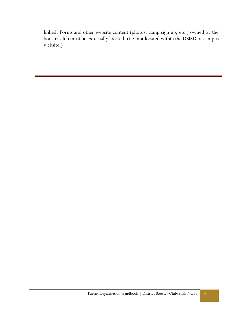linked. Forms and other website content (photos, camp sign up, etc.) owned by the booster club must be externally located. (i.e. not located within the DSISD or campus website.)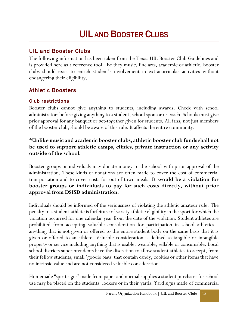# UIL AND BOOSTER CLUBS

# <span id="page-17-0"></span>UIL and Booster Clubs

The following information has been taken from the Texas UIL Booster Club Guidelines and is provided here as a reference tool. Be they music, fine arts, academic or athletic, booster clubs should exist to enrich student's involvement in extracurricular activities without endangering their eligibility.

# <span id="page-17-1"></span>Athletic Boosters

#### <span id="page-17-2"></span>Club restrictions

Booster clubs cannot give anything to students, including awards. Check with school administrators before giving anything to a student, school sponsor or coach. Schools must give prior approval for any banquet or get-together given for students. All fans, not just members of the booster club, should be aware of this rule. It affects the entire community.

#### **\*Unlike music and academic booster clubs, athletic booster club funds shall not be used to support athletic camps, clinics, private instruction or any activity outside of the school.**

Booster groups or individuals may donate money to the school with prior approval of the administration. These kinds of donations are often made to cover the cost of commercial transportation and to cover costs for out-of-town meals. **It would be a violation for booster groups or individuals to pay for such costs directly, without prior approval from DSISD administration.**

Individuals should be informed of the seriousness of violating the athletic amateur rule. The penalty to a student-athlete is forfeiture of varsity athletic eligibility in the sport for which the violation occurred for one calendar year from the date of the violation. Student athletes are prohibited from accepting valuable consideration for participation in school athletics anything that is not given or offered to the entire student body on the same basis that it is given or offered to an athlete. Valuable consideration is defined as tangible or intangible property or service including anything that is usable, wearable, sellable or consumable. Local school districts superintendents have the discretion to allow student athletes to accept, from their fellow students, small 'goodie bags' that contain candy, cookies or other items that have no intrinsic value and are not considered valuable consideration.

Homemade "spirit signs" made from paper and normal supplies a student purchases for school use may be placed on the students' lockers or in their yards. Yard signs made of commercial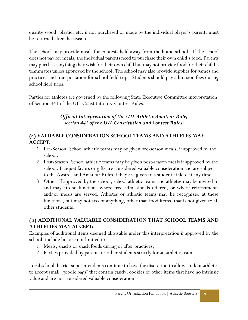quality wood, plastic, etc. if not purchased or made by the individual player's parent, must be returned after the season.

The school may provide meals for contests held away from the home school. If the school does not pay for meals, the individual parents need to purchase their own child's food. Parents may purchase anything they wish for their own child but may not provide food for their child's teammates unless approved by the school. The school may also provide supplies for games and practices and transportation for school field trips. Students should pay admission fees during school field trips.

Parties for athletes are governed by the following State Executive Committee interpretation of Section 441 of the UIL Constitution & Contest Rules.

#### *Official Interpretation of the UIL Athletic Amateur Rule, section 441 of the UIL Constitution and Contest Rules:*

#### **(a) VALUABLE CONSIDERATION SCHOOL TEAMS AND ATHLETES MAY ACCEPT:**

- 1. Pre-Season. School athletic teams may be given pre-season meals, if approved by the school.
- 2. Post-Season. School athletic teams may be given post-season meals if approved by the school. Banquet favors or gifts are considered valuable consideration and are subject to the Awards and Amateur Rules if they are given to a student athlete at any time.
- 3. Other. If approved by the school, school athletic teams and athletes may be invited to and may attend functions where free admission is offered, or where refreshments and/or meals are served. Athletes or athletic teams may be recognized at these functions, but may not accept anything, other than food items, that is not given to all other students.

#### **(b) ADDITIONAL VALUABLE CONSIDERATION THAT SCHOOL TEAMS AND ATHLETIES MAY ACCEPT:**

Examples of additional items deemed allowable under this interpretation if approved by the school, include but are not limited to:

- 1. Meals, snacks or snack foods during or after practices;
- 2. Parties provided by parents or other students strictly for an athletic team

Local school district superintendents continue to have the discretion to allow student athletes to accept small "goodie bags" that contain candy, cookies or other items that have no intrinsic value and are not considered valuable consideration.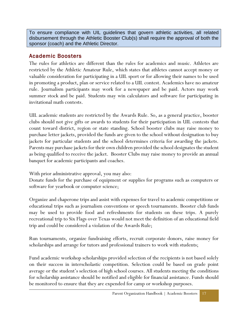To ensure compliance with UIL guidelines that govern athletic activities, all related disbursement through the Athletic Booster Club(s) shall require the approval of both the sponsor (coach) and the Athletic Director.

## <span id="page-19-0"></span>Academic Boosters

The rules for athletics are different than the rules for academics and music. Athletes are restricted by the Athletic Amateur Rule, which states that athletes cannot accept money or valuable consideration for participating in a UIL sport or for allowing their names to be used in promoting a product, plan or service related to a UIL contest. Academics have no amateur rule. Journalism participants may work for a newspaper and be paid. Actors may work summer stock and be paid. Students may win calculators and software for participating in invitational math contests.

UIL academic students are restricted by the Awards Rule. So, as a general practice, booster clubs should not give gifts or awards to students for their participation in UIL contests that count toward district, region or state standing. School booster clubs may raise money to purchase letter jackets, provided the funds are given to the school without designation to buy jackets for particular students and the school determines criteria for awarding the jackets. Parents may purchase jackets for their own children provided the school designates the student as being qualified to receive the jacket. Booster Clubs may raise money to provide an annual banquet for academic participants and coaches.

With prior administrative approval, you may also:

Donate funds for the purchase of equipment or supplies for programs such as computers or software for yearbook or computer science;

Organize and chaperone trips and assist with expenses for travel to academic competitions or educational trips such as journalism conventions or speech tournaments. Booster club funds may be used to provide food and refreshments for students on these trips. A purely recreational trip to Six Flags over Texas would not meet the definition of an educational field trip and could be considered a violation of the Awards Rule;

Run tournaments, organize fundraising efforts, recruit corporate donors, raise money for scholarships and arrange for tutors and professional trainers to work with students;

Fund academic workshop scholarships provided selection of the recipients is not based solely on their success in interscholastic competition. Selection could be based on grade point average or the student's selection of high school courses. All students meeting the conditions for scholarship assistance should be notified and eligible for financial assistance. Funds should be monitored to ensure that they are expended for camp or workshop purposes.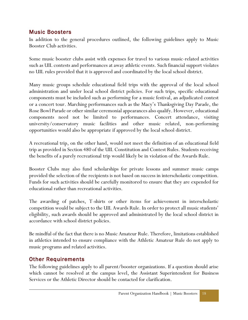# <span id="page-20-0"></span>Music Boosters

In addition to the general procedures outlined, the following guidelines apply to Music Booster Club activities.

Some music booster clubs assist with expenses for travel to various music-related activities such as UIL contests and performances at away athletic events. Such financial support violates no UIL rules provided that it is approved and coordinated by the local school district.

Many music groups schedule educational field trips with the approval of the local school administration and under local school district policies. For such trips, specific educational components must be included such as performing for a music festival, an adjudicated contest or a concert tour. Marching performances such as the Macy's Thanksgiving Day Parade, the Rose Bowl Parade or other similar ceremonial appearances also qualify. However, educational components need not be limited to performances. Concert attendance, visiting university/conservatory music facilities and other music related, non-performing opportunities would also be appropriate if approved by the local school district.

A recreational trip, on the other hand, would not meet the definition of an educational field trip as provided in Section 480 of the UIL Constitution and Contest Rules. Students receiving the benefits of a purely recreational trip would likely be in violation of the Awards Rule.

Booster Clubs may also fund scholarships for private lessons and summer music camps provided the selection of the recipients is not based on success in interscholastic competition. Funds for such activities should be carefully monitored to ensure that they are expended for educational rather than recreational activities.

The awarding of patches, T-shirts or other items for achievement in interscholastic competition would be subject to the UIL Awards Rule. In order to protect all music students' eligibility, such awards should be approved and administrated by the local school district in accordance with school district policies.

Be mindful of the fact that there is no Music Amateur Rule. Therefore, limitations established in athletics intended to ensure compliance with the Athletic Amateur Rule do not apply to music programs and related activities.

# <span id="page-20-1"></span>Other Requirements

The following guidelines apply to all parent/booster organizations. If a question should arise which cannot be resolved at the campus level, the Assistant Superintendent for Business Services or the Athletic Director should be contacted for clarification.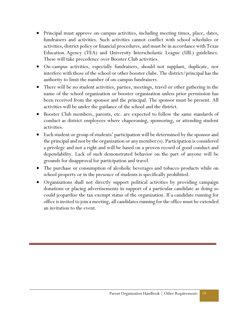- Principal must approve on-campus activities, including meeting times, place, dates, fundraisers and activities. Such activities cannot conflict with school schedules or activities, district policy or financial procedures, and must be in accordance with Texas Education Agency (TEA) and University Interscholastic League (UIL) guidelines. These will take precedence over Booster Club activities.
- On-campus activities, especially fundraisers, should not supplant, duplicate, nor interfere with those of the school or other booster clubs. The district/principal has the authority to limit the number of on-campus fundraisers.
- There will be no student activities, parties, meetings, travel or other gathering in the name of the school organization or booster organization unless prior permission has been received from the sponsor and the principal. The sponsor must be present. All activities will be under the guidance of the school and the district.
- Booster Club members, parents, etc. are expected to follow the same standards of conduct as district employees where chaperoning, sponsoring, or attending student activities.
- Each student or group of students' participation will be determined by the sponsor and the principal and not by the organization or any member (s). Participation is considered a privilege and not a right and will be based on a proven record of good conduct and dependability. Lack of such demonstrated behavior on the part of anyone will be grounds for disapproval for participation and travel.
- The purchase or consumption of alcoholic beverages and tobacco products while on school property or in the presence of students is specifically prohibited.
- Organizations shall not directly support political activities by providing campaign donations or placing advertisements in support of a particular candidate as doing so could jeopardize the tax exempt status of the organization. If a candidate running for office is invited to join a meeting, all candidates running for the office must be extended an invitation to the event.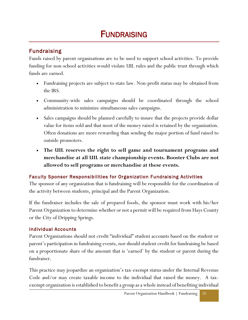# **FUNDRAISING**

# <span id="page-22-0"></span>Fundraising

Funds raised by parent organizations are to be used to support school activities. To provide funding for non-school activities would violate UIL rules and the public trust through which funds are earned.

- Fundraising projects are subject to state law. Non-profit status may be obtained from the IRS.
- Community-wide sales campaigns should be coordinated through the school administration to minimize simultaneous sales campaigns.
- Sales campaigns should be planned carefully to insure that the projects provide dollar value for items sold and that most of the money raised is retained by the organization. Often donations are more rewarding than sending the major portion of fund raised to outside promoters.
- **The UIL reserves the right to sell game and tournament programs and merchandise at all UIL state championship events. Booster Clubs are not allowed to sell programs or merchandise at these events.**

### <span id="page-22-1"></span>Faculty Sponsor Responsibilities for Organization Fundraising Activities

The sponsor of any organization that is fundraising will be responsible for the coordination of the activity between students, principal and the Parent Organization.

If the fundraiser includes the sale of prepared foods, the sponsor must work with his/her Parent Organization to determine whether or not a permit will be required from Hays County or the City of Dripping Springs.

#### <span id="page-22-2"></span>Individual Accounts

Parent Organizations should not credit "individual" student accounts based on the student or parent's participation in fundraising events, nor should student credit for fundraising be based on a proportionate share of the amount that is 'earned' by the student or parent during the fundraiser.

This practice may jeopardize an organization's tax-exempt status under the Internal Revenue Code and/or may create taxable income to the individual that raised the money. A taxexempt organization is established to benefit a group as a whole instead of benefiting individual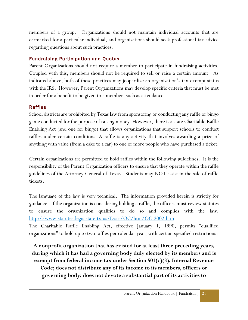members of a group. Organizations should not maintain individual accounts that are earmarked for a particular individual, and organizations should seek professional tax advice regarding questions about such practices.

#### <span id="page-23-0"></span>Fundraising Participation and Quotas

Parent Organizations should not require a member to participate in fundraising activities. Coupled with this, members should not be required to sell or raise a certain amount. As indicated above, both of these practices may jeopardize an organization's tax-exempt status with the IRS. However, Parent Organizations may develop specific criteria that must be met in order for a benefit to be given to a member, such as attendance.

#### <span id="page-23-1"></span>Raffles

School districts are prohibited by Texas law from sponsoring or conducting any raffle or bingo game conducted for the purpose of raising money. However, there is a state Charitable Raffle Enabling Act (and one for bingo) that allows organizations that support schools to conduct raffles under certain conditions. A raffle is any activity that involves awarding a prize of anything with value (from a cake to a car) to one or more people who have purchased a ticket.

Certain organizations are permitted to hold raffles within the following guidelines. It is the responsibility of the Parent Organization officers to ensure that they operate within the raffle guidelines of the Attorney General of Texas. Students may NOT assist in the sale of raffle tickets.

The language of the law is very technical. The information provided herein is strictly for guidance. If the organization is considering holding a raffle, the officers must review statutes to ensure the organization qualifies to do so and complies with the law. <http://www.statutes.legis.state.tx.us/Docs/OC/htm/OC.2002.htm>

The Charitable Raffle Enabling Act, effective January 1, 1990, permits "qualified organizations" to hold up to two raffles per calendar year, with certain specified restrictions:

**A nonprofit organization that has existed for at least three preceding years, during which it has had a governing body duly elected by its members and is exempt from federal income tax under Section 501(c)(3), Internal Revenue Code; does not distribute any of its income to its members, officers or governing body; does not devote a substantial part of its activities to**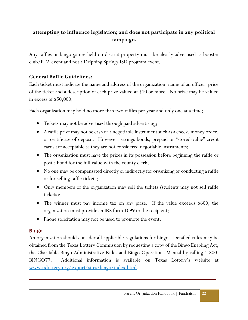# **attempting to influence legislation; and does not participate in any political campaign.**

Any raffles or bingo games held on district property must be clearly advertised as booster club/PTA event and not a Dripping Springs ISD program event.

#### **General Raffle Guidelines:**

Each ticket must indicate the name and address of the organization, name of an officer, price of the ticket and a description of each prize valued at \$10 or more. No prize may be valued in excess of \$50,000;

Each organization may hold no more than two raffles per year and only one at a time;

- Tickets may not be advertised through paid advertising;
- A raffle prize may not be cash or a negotiable instrument such as a check, money order, or certificate of deposit. However, savings bonds, prepaid or "stored-value" credit cards are acceptable as they are not considered negotiable instruments;
- The organization must have the prizes in its possession before beginning the raffle or post a bond for the full value with the county clerk;
- No one may be compensated directly or indirectly for organizing or conducting a raffle or for selling raffle tickets;
- Only members of the organization may sell the tickets (students may not sell raffle tickets);
- The winner must pay income tax on any prize. If the value exceeds \$600, the organization must provide an IRS form 1099 to the recipient;
- Phone solicitation may not be used to promote the event.

#### <span id="page-24-0"></span>Bingo

An organization should consider all applicable regulations for bingo. Detailed rules may be obtained from the Texas Lottery Commission by requesting a copy of the Bingo Enabling Act, the Charitable Bingo Administrative Rules and Bingo Operations Manual by calling 1-800- BINGO77. Additional information is available on Texas Lottery's website at [www.txlottery.org/export/sites/bingo/index.html.](http://www.txlottery.org/export/sites/bingo/index.html)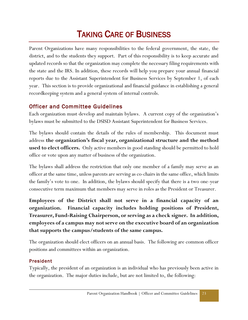# TAKING CARE OF BUSINESS

Parent Organizations have many responsibilities to the federal government, the state, the district, and to the students they support. Part of this responsibility is to keep accurate and updated records so that the organization may complete the necessary filing requirements with the state and the IRS. In addition, these records will help you prepare your annual financial reports due to the Assistant Superintendent for Business Services by September 1, of each year. This section is to provide organizational and financial guidance in establishing a general recordkeeping system and a general system of internal controls.

# <span id="page-25-0"></span>Officer and Committee Guidelines

Each organization must develop and maintain bylaws. A current copy of the organization's bylaws must be submitted to the DSISD Assistant Superintendent for Business Services.

The bylaws should contain the details of the rules of membership. This document must address **the organization's fiscal year, organizational structure and the method used to elect officers.** Only active members in good standing should be permitted to hold office or vote upon any matter of business of the organization.

The bylaws shall address the restriction that only one member of a family may serve as an officer at the same time, unless parents are serving as co-chairs in the same office, which limits the family's vote to one. In addition, the bylaws should specify that there is a two one-year consecutive term maximum that members may serve in roles as the President or Treasurer.

**Employees of the District shall not serve in a financial capacity of an organization. Financial capacity includes holding positions of President, Treasurer, Fund-Raising Chairperson, or serving as a check signer. In addition, employees of a campus may not serve on the executive board of an organization that supports the campus/students of the same campus.** 

The organization should elect officers on an annual basis. The following are common officer positions and committees within an organization.

#### <span id="page-25-1"></span>President

Typically, the president of an organization is an individual who has previously been active in the organization. The major duties include, but are not limited to, the following: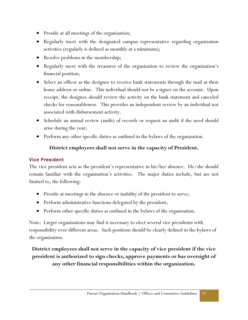- Preside at all meetings of the organization;
- Regularly meet with the designated campus representative regarding organization activities (regularly is defined as monthly at a minimum);
- Resolve problems in the membership;
- Regularly meet with the treasurer of the organization to review the organization's financial position;
- Select an officer as the designee to receive bank statements through the mail at their home address or online. This individual should not be a signer on the account. Upon receipt, the designee should review the activity on the bank statement and canceled checks for reasonableness. This provides an independent review by an individual not associated with disbursement activity.
- Schedule an annual review (audit) of records or request an audit if the need should arise during the year;
- Perform any other specific duties as outlined in the bylaws of the organization.

# **District employees shall not serve in the capacity of President.**

#### <span id="page-26-0"></span>Vice President

The vice president acts as the president's representative in his/her absence. He/she should remain familiar with the organization's activities. The major duties include, but are not limited to, the following:

- Preside at meetings in the absence or inability of the president to serve;
- Perform administrative functions delegated by the president;
- Perform other specific duties as outlined in the bylaws of the organization.

Note: Larger organizations may find it necessary to elect several vice presidents with responsibility over different areas. Such positions should be clearly defined in the bylaws of the organization.

**District employees shall not serve in the capacity of vice president if the vice president is authorized to sign checks, approve payments or has oversight of any other financial responsibilities within the organization.**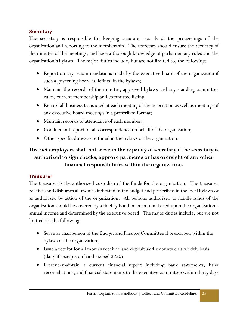#### <span id="page-27-0"></span>**Secretary**

The secretary is responsible for keeping accurate records of the proceedings of the organization and reporting to the membership. The secretary should ensure the accuracy of the minutes of the meetings, and have a thorough knowledge of parliamentary rules and the organization's bylaws. The major duties include, but are not limited to, the following:

- Report on any recommendations made by the executive board of the organization if such a governing board is defined in the bylaws;
- Maintain the records of the minutes, approved bylaws and any standing committee rules, current membership and committee listing;
- Record all business transacted at each meeting of the association as well as meetings of any executive board meetings in a prescribed format;
- Maintain records of attendance of each member;
- Conduct and report on all correspondence on behalf of the organization;
- Other specific duties as outlined in the bylaws of the organization.

# **District employees shall not serve in the capacity of secretary if the secretary is authorized to sign checks, approve payments or has oversight of any other financial responsibilities within the organization.**

#### <span id="page-27-1"></span>**Treasurer**

The treasurer is the authorized custodian of the funds for the organization. The treasurer receives and disburses all monies indicated in the budget and prescribed in the local bylaws or as authorized by action of the organization. All persons authorized to handle funds of the organization should be covered by a fidelity bond in an amount based upon the organization's annual income and determined by the executive board. The major duties include, but are not limited to, the following:

- Serve as chairperson of the Budget and Finance Committee if prescribed within the bylaws of the organization;
- Issue a receipt for all monies received and deposit said amounts on a weekly basis (daily if receipts on hand exceed \$250);
- Present/maintain a current financial report including bank statements, bank reconciliations, and financial statements to the executive committee within thirty days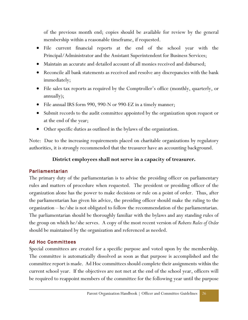of the previous month end; copies should be available for review by the general membership within a reasonable timeframe, if requested.

- File current financial reports at the end of the school year with the Principal/Administrator and the Assistant Superintendent for Business Services;
- Maintain an accurate and detailed account of all monies received and disbursed;
- Reconcile all bank statements as received and resolve any discrepancies with the bank immediately;
- File sales tax reports as required by the Comptroller's office (monthly, quarterly, or annually);
- File annual IRS form 990, 990-N or 990-EZ in a timely manner;
- Submit records to the audit committee appointed by the organization upon request or at the end of the year;
- Other specific duties as outlined in the bylaws of the organization.

Note: Due to the increasing requirements placed on charitable organizations by regulatory authorities, it is strongly recommended that the treasurer have an accounting background.

#### **District employees shall not serve in a capacity of treasurer.**

#### <span id="page-28-0"></span>Parliamentarian

The primary duty of the parliamentarian is to advise the presiding officer on parliamentary rules and matters of procedure when requested. The president or presiding officer of the organization alone has the power to make decisions or rule on a point of order. Thus, after the parliamentarian has given his advice, the presiding officer should make the ruling to the organization – he/she is not obligated to follow the recommendation of the parliamentarian. The parliamentarian should be thoroughly familiar with the bylaws and any standing rules of the group on which he/she serves. A copy of the most recent version of *Roberts Rules of Order*  should be maintained by the organization and referenced as needed.

#### <span id="page-28-1"></span>Ad Hoc Committees

Special committees are created for a specific purpose and voted upon by the membership. The committee is automatically dissolved as soon as that purpose is accomplished and the committee report is made. Ad Hoc committees should complete their assignments within the current school year. If the objectives are not met at the end of the school year, officers will be required to reappoint members of the committee for the following year until the purpose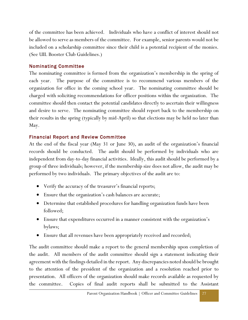of the committee has been achieved. Individuals who have a conflict of interest should not be allowed to serve as members of the committee. For example, senior parents would not be included on a scholarship committee since their child is a potential recipient of the monies. (See UIL Booster Club Guidelines.)

#### <span id="page-29-0"></span>Nominating Committee

The nominating committee is formed from the organization's membership in the spring of each year. The purpose of the committee is to recommend various members of the organization for office in the coming school year. The nominating committee should be charged with soliciting recommendations for officer positions within the organization. The committee should then contact the potential candidates directly to ascertain their willingness and desire to serve. The nominating committee should report back to the membership on their results in the spring (typically by mid-April) so that elections may be held no later than May.

#### <span id="page-29-1"></span>Financial Report and Review Committee

At the end of the fiscal year (May 31 or June 30), an audit of the organization's financial records should be conducted. The audit should be performed by individuals who are independent from day-to-day financial activities. Ideally, this audit should be performed by a group of three individuals; however, if the membership size does not allow, the audit may be performed by two individuals. The primary objectives of the audit are to:

- Verify the accuracy of the treasurer's financial reports;
- Ensure that the organization's cash balances are accurate;
- Determine that established procedures for handling organization funds have been followed;
- Ensure that expenditures occurred in a manner consistent with the organization's bylaws;
- Ensure that all revenues have been appropriately received and recorded;

The audit committee should make a report to the general membership upon completion of the audit. All members of the audit committee should sign a statement indicating their agreement with the findings detailed in the report. Any discrepancies noted should be brought to the attention of the president of the organization and a resolution reached prior to presentation. All officers of the organization should make records available as requested by the committee. Copies of final audit reports shall be submitted to the Assistant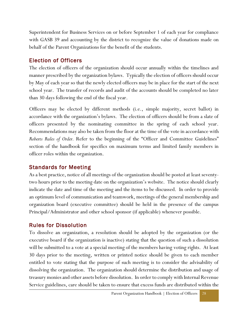Superintendent for Business Services on or before September 1 of each year for compliance with GASB 39 and accounting by the district to recognize the value of donations made on behalf of the Parent Organizations for the benefit of the students.

# <span id="page-30-0"></span>Election of Officers

The election of officers of the organization should occur annually within the timelines and manner prescribed by the organization bylaws. Typically the election of officers should occur by May of each year so that the newly elected officers may be in place for the start of the next school year. The transfer of records and audit of the accounts should be completed no later than 30 days following the end of the fiscal year.

Officers may be elected by different methods (i.e., simple majority, secret ballot) in accordance with the organization's bylaws. The election of officers should be from a slate of officers presented by the nominating committee in the spring of each school year. Recommendations may also be taken from the floor at the time of the vote in accordance with *Roberts Rules of Order.* Refer to the beginning of the "Officer and Committee Guidelines" section of the handbook for specifics on maximum terms and limited family members in officer roles within the organization.

# <span id="page-30-1"></span>Standards for Meeting

As a best practice, notice of all meetings of the organization should be posted at least seventytwo hours prior to the meeting date on the organization's website. The notice should clearly indicate the date and time of the meeting and the items to be discussed. In order to provide an optimum level of communication and teamwork, meetings of the general membership and organization board (executive committee) should be held in the presence of the campus Principal/Administrator and other school sponsor (if applicable) whenever possible.

# <span id="page-30-2"></span>Rules for Dissolution

To dissolve an organization, a resolution should be adopted by the organization (or the executive board if the organization is inactive) stating that the question of such a dissolution will be submitted to a vote at a special meeting of the members having voting rights. At least 30 days prior to the meeting, written or printed notice should be given to each member entitled to vote stating that the purpose of such meeting is to consider the advisability of dissolving the organization. The organization should determine the distribution and usage of treasury monies and other assets before dissolution. In order to comply with Internal Revenue Service guidelines, care should be taken to ensure that excess funds are distributed within the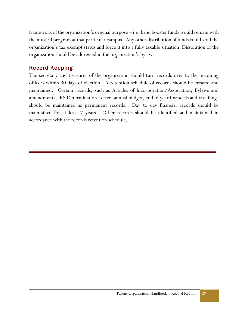framework of the organization's original purpose – i.e. band booster funds would remain with the musical program at that particular campus. Any other distribution of funds could void the organization's tax exempt status and force it into a fully taxable situation. Dissolution of the organization should be addressed in the organization's bylaws

# <span id="page-31-0"></span>Record Keeping

The secretary and treasurer of the organization should turn records over to the incoming officers within 30 days of election. A retention schedule of records should be created and maintained. Certain records, such as Articles of Incorporation/Association, Bylaws and amendments, IRS Determination Letter, annual budget, end of year financials and tax filings should be maintained as permanent records. Day to day financial records should be maintained for at least 7 years. Other records should be identified and maintained in accordance with the records retention schedule.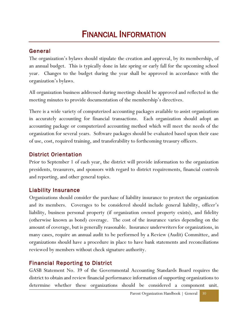# FINANCIAL INFORMATION

# <span id="page-32-0"></span>General

The organization's bylaws should stipulate the creation and approval, by its membership, of an annual budget. This is typically done in late spring or early fall for the upcoming school year. Changes to the budget during the year shall be approved in accordance with the organization's bylaws.

All organization business addressed during meetings should be approved and reflected in the meeting minutes to provide documentation of the membership's directives.

There is a wide variety of computerized accounting packages available to assist organizations in accurately accounting for financial transactions. Each organization should adopt an accounting package or computerized accounting method which will meet the needs of the organization for several years. Software packages should be evaluated based upon their ease of use, cost, required training, and transferability to forthcoming treasury officers.

# <span id="page-32-1"></span>District Orientation

Prior to September 1 of each year, the district will provide information to the organization presidents, treasurers, and sponsors with regard to district requirements, financial controls and reporting, and other general topics.

# <span id="page-32-2"></span>Liability Insurance

Organizations should consider the purchase of liability insurance to protect the organization and its members. Coverages to be considered should include general liability, officer's liability, business personal property (if organization owned property exists), and fidelity (otherwise known as bond) coverage. The cost of the insurance varies depending on the amount of coverage, but is generally reasonable. Insurance underwriters for organizations, in many cases, require an annual audit to be performed by a Review (Audit) Committee, and organizations should have a procedure in place to have bank statements and reconciliations reviewed by members without check signature authority.

# <span id="page-32-3"></span>Financial Reporting to District

GASB Statement No. 39 of the Governmental Accounting Standards Board requires the district to obtain and review financial performance information of supporting organizations to determine whether these organizations should be considered a component unit.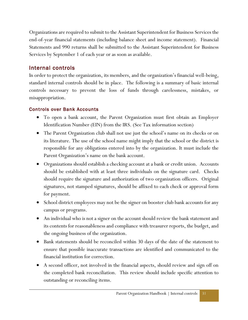Organizations are required to submit to the Assistant Superintendent for Business Services the end-of-year financial statements (including balance sheet and income statement). Financial Statements and 990 returns shall be submitted to the Assistant Superintendent for Business Services by September 1 of each year or as soon as available.

# <span id="page-33-0"></span>Internal controls

In order to protect the organization, its members, and the organization's financial well-being, standard internal controls should be in place. The following is a summary of basic internal controls necessary to prevent the loss of funds through carelessness, mistakes, or misappropriation.

#### <span id="page-33-1"></span>Controls over Bank Accounts

- To open a bank account, the Parent Organization must first obtain an Employer Identification Number (EIN) from the IRS. (See Tax information section)
- The Parent Organization club shall not use just the school's name on its checks or on its literature. The use of the school name might imply that the school or the district is responsible for any obligations entered into by the organization. It must include the Parent Organization's name on the bank account.
- Organizations should establish a checking account at a bank or credit union. Accounts should be established with at least three individuals on the signature card. Checks should require the signature and authorization of two organization officers. Original signatures, not stamped signatures, should be affixed to each check or approval form for payment.
- School district employees may not be the signer on booster club bank accounts for any campus or programs.
- An individual who is not a signer on the account should review the bank statement and its contents for reasonableness and compliance with treasurer reports, the budget, and the ongoing business of the organization.
- Bank statements should be reconciled within 30 days of the date of the statement to ensure that possible inaccurate transactions are identified and communicated to the financial institution for correction.
- A second officer, not involved in the financial aspects, should review and sign off on the completed bank reconciliation. This review should include specific attention to outstanding or reconciling items.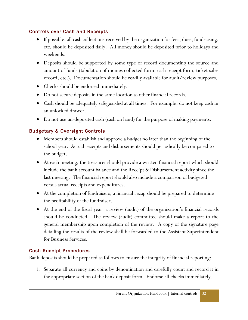#### <span id="page-34-0"></span>Controls over Cash and Receipts

- If possible, all cash collections received by the organization for fees, dues, fundraising, etc. should be deposited daily. All money should be deposited prior to holidays and weekends.
- Deposits should be supported by some type of record documenting the source and amount of funds (tabulation of monies collected form, cash receipt form, ticket sales record, etc.). Documentation should be readily available for audit/review purposes.
- Checks should be endorsed immediately.
- Do not secure deposits in the same location as other financial records.
- Cash should be adequately safeguarded at all times. For example, do not keep cash in an unlocked drawer.
- Do not use un-deposited cash (cash on hand) for the purpose of making payments.

### <span id="page-34-1"></span>Budgetary & Oversight Controls

- Members should establish and approve a budget no later than the beginning of the school year. Actual receipts and disbursements should periodically be compared to the budget.
- At each meeting, the treasurer should provide a written financial report which should include the bank account balance and the Receipt & Disbursement activity since the last meeting. The financial report should also include a comparison of budgeted versus actual receipts and expenditures.
- At the completion of fundraisers, a financial recap should be prepared to determine the profitability of the fundraiser.
- At the end of the fiscal year, a review (audit) of the organization's financial records should be conducted. The review (audit) committee should make a report to the general membership upon completion of the review. A copy of the signature page detailing the results of the review shall be forwarded to the Assistant Superintendent for Business Services.

#### <span id="page-34-2"></span>Cash Receipt Procedures

Bank deposits should be prepared as follows to ensure the integrity of financial reporting:

1. Separate all currency and coins by denomination and carefully count and record it in the appropriate section of the bank deposit form. Endorse all checks immediately.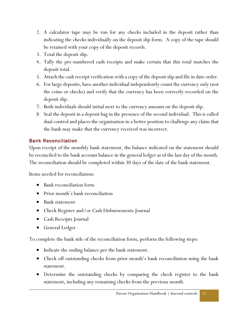- 2. A calculator tape may be run for any checks included in the deposit rather than indicating the checks individually on the deposit slip form. A copy of the tape should be retained with your copy of the deposit records.
- 3. Total the deposit slip.
- 4. Tally the pre-numbered cash receipts and make certain that this total matches the deposit total.
- 5. Attach the cash receipt verification with a copy of the deposit slip and file in date order.
- 6. For large deposits, have another individual independently count the currency only (not the coins or checks) and verify that the currency has been correctly recorded on the deposit slip.
- 7. Both individuals should initial next to the currency amount on the deposit slip.
- 8. Seal the deposit in a deposit bag in the presence of the second individual. This is called dual control and places the organization in a better position to challenge any claim that the bank may make that the currency received was incorrect.

# <span id="page-35-0"></span>Bank Reconciliation

Upon receipt of the monthly bank statement, the balance indicated on the statement should be reconciled to the bank account balance in the general ledger as of the last day of the month. The reconciliation should be completed within 30 days of the date of the bank statement.

Items needed for reconciliation:

- Bank reconciliation form
- Prior month's bank reconciliation
- Bank statement
- Check Register and/or Cash Disbursements Journal
- Cash Receipts Journal
- General Ledger

To complete the bank side of the reconciliation form, perform the following steps:

- Indicate the ending balance per the bank statement.
- Check off outstanding checks from prior month's bank reconciliation using the bank statement.
- Determine the outstanding checks by comparing the check register to the bank statement, including any remaining checks from the previous month.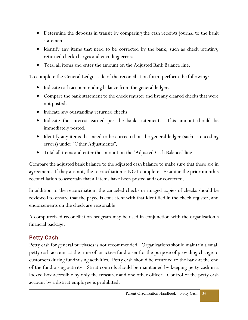- Determine the deposits in transit by comparing the cash receipts journal to the bank statement.
- Identify any items that need to be corrected by the bank, such as check printing, returned check charges and encoding errors.
- Total all items and enter the amount on the Adjusted Bank Balance line.

To complete the General Ledger side of the reconciliation form, perform the following:

- Indicate cash account ending balance from the general ledger.
- Compare the bank statement to the check register and list any cleared checks that were not posted.
- $\bullet$  Indicate any outstanding returned checks.
- Indicate the interest earned per the bank statement. This amount should be immediately posted.
- Identify any items that need to be corrected on the general ledger (such as encoding errors) under "Other Adjustments".
- Total all items and enter the amount on the "Adjusted Cash Balance" line.

Compare the adjusted bank balance to the adjusted cash balance to make sure that these are in agreement. If they are not, the reconciliation is NOT complete. Examine the prior month's reconciliation to ascertain that all items have been posted and/or corrected.

In addition to the reconciliation, the canceled checks or imaged copies of checks should be reviewed to ensure that the payee is consistent with that identified in the check register, and endorsements on the check are reasonable.

A computerized reconciliation program may be used in conjunction with the organization's financial package.

### <span id="page-36-0"></span>Petty Cash

Petty cash for general purchases is not recommended. Organizations should maintain a small petty cash account at the time of an active fundraiser for the purpose of providing change to customers during fundraising activities. Petty cash should be returned to the bank at the end of the fundraising activity. Strict controls should be maintained by keeping petty cash in a locked box accessible by only the treasurer and one other officer. Control of the petty cash account by a district employee is prohibited.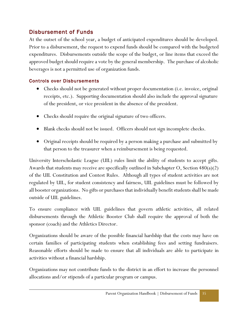# <span id="page-37-0"></span>Disbursement of Funds

At the outset of the school year, a budget of anticipated expenditures should be developed. Prior to a disbursement, the request to expend funds should be compared with the budgeted expenditures. Disbursements outside the scope of the budget, or line items that exceed the approved budget should require a vote by the general membership. The purchase of alcoholic beverages is not a permitted use of organization funds.

#### <span id="page-37-1"></span>Controls over Disbursements

- Checks should not be generated without proper documentation (i.e. invoice, original receipts, etc.). Supporting documentation should also include the approval signature of the president, or vice president in the absence of the president.
- Checks should require the original signature of two officers.
- Blank checks should not be issued. Officers should not sign incomplete checks.
- Original receipts should be required by a person making a purchase and submitted by that person to the treasurer when a reimbursement is being requested.

University Interscholastic League (UIL) rules limit the ability of students to accept gifts. Awards that students may receive are specifically outlined in Subchapter O, Section 480(a)(2) of the UIL Constitution and Contest Rules. Although all types of student activities are not regulated by UIL, for student consistency and fairness, UIL guidelines must be followed by all booster organizations. No gifts or purchases that individually benefit students shall be made outside of UIL guidelines.

To ensure compliance with UIL guidelines that govern athletic activities, all related disbursements through the Athletic Booster Club shall require the approval of both the sponsor (coach) and the Athletics Director.

Organizations should be aware of the possible financial hardship that the costs may have on certain families of participating students when establishing fees and setting fundraisers. Reasonable efforts should be made to ensure that all individuals are able to participate in activities without a financial hardship.

Organizations may not contribute funds to the district in an effort to increase the personnel allocations and/or stipends of a particular program or campus.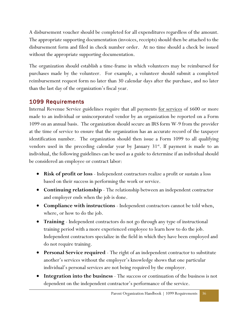A disbursement voucher should be completed for all expenditures regardless of the amount. The appropriate supporting documentation (invoices, receipts) should then be attached to the disbursement form and filed in check number order. At no time should a check be issued without the appropriate supporting documentation.

The organization should establish a time-frame in which volunteers may be reimbursed for purchases made by the volunteer. For example, a volunteer should submit a completed reimbursement request form no later than 30 calendar days after the purchase, and no later than the last day of the organization's fiscal year.

# <span id="page-38-0"></span>1099 Requirements

Internal Revenue Service guidelines require that all payments <u>for services</u> of \$600 or more made to an individual or unincorporated vendor by an organization be reported on a Form 1099 on an annual basis. The organization should secure an IRS form W-9 from the provider at the time of service to ensure that the organization has an accurate record of the taxpayer identification number. The organization should then issue a Form 1099 to all qualifying vendors used in the preceding calendar year by January  $31^{st}$ . If payment is made to an individual, the following guidelines can be used as a guide to determine if an individual should be considered an employee or contract labor:

- **Risk of profit or loss** Independent contractors realize a profit or sustain a loss based on their success in performing the work or service.
- **Continuing relationship** The relationship between an independent contractor and employer ends when the job is done.
- **Compliance with instructions**  Independent contractors cannot be told when, where, or how to do the job.
- **Training**  Independent contractors do not go through any type of instructional training period with a more experienced employee to learn how to do the job. Independent contractors specialize in the field in which they have been employed and do not require training.
- **Personal Service required**  The right of an independent contractor to substitute another's services without the employer's knowledge shows that one particular individual's personal services are not being required by the employer.
- **Integration into the business**  The success or continuation of the business is not dependent on the independent contractor's performance of the service.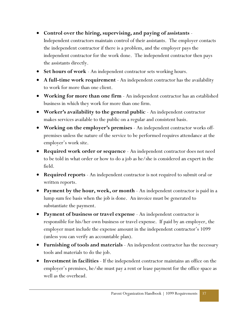# **Control over the hiring, supervising, and paying of assistants** -

Independent contractors maintain control of their assistants. The employer contacts the independent contractor if there is a problem, and the employer pays the independent contractor for the work done. The independent contractor then pays the assistants directly.

- **Set hours of work**  An independent contractor sets working hours.
- **A full-time work requirement**  An independent contractor has the availability to work for more than one client.
- **Working for more than one firm** An independent contractor has an established business in which they work for more than one firm.
- **Worker's availability to the general public**  An independent contractor makes services available to the public on a regular and consistent basis.
- **Working on the employer's premises**  An independent contractor works offpremises unless the nature of the service to be performed requires attendance at the employer's work site.
- **Required work order or sequence**  An independent contractor does not need to be told in what order or how to do a job as he/she is considered an expert in the field.
- **Required reports**  An independent contractor is not required to submit oral or written reports.
- **Payment by the hour, week, or month**  An independent contractor is paid in a lump sum fee basis when the job is done. An invoice must be generated to substantiate the payment.
- **Payment of business or travel expense**  An independent contractor is responsible for his/her own business or travel expense. If paid by an employer, the employer must include the expense amount in the independent contractor's 1099 (unless you can verify an accountable plan).
- **Furnishing of tools and materials**  An independent contractor has the necessary tools and materials to do the job.
- **Investment in facilities** If the independent contractor maintains an office on the employer's premises, he/she must pay a rent or lease payment for the office space as well as the overhead.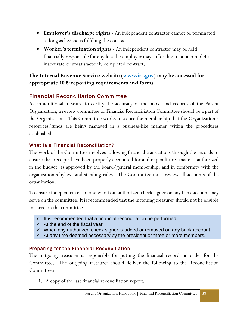- **Employer's discharge rights**  An independent contractor cannot be terminated as long as he/she is fulfilling the contract.
- **Worker's termination rights**  An independent contractor may be held financially responsible for any loss the employer may suffer due to an incomplete, inaccurate or unsatisfactorily completed contract.

#### **The Internal Revenue Service website [\(www.irs.gov\)](http://www.irs.gov/) may be accessed for appropriate 1099 reporting requirements and forms.**

### <span id="page-40-0"></span>Financial Reconciliation Committee

As an additional measure to certify the accuracy of the books and records of the Parent Organization, a review committee or Financial Reconciliation Committee should be a part of the Organization. This Committee works to assure the membership that the Organization's resources/funds are being managed in a business-like manner within the procedures established.

#### <span id="page-40-1"></span>What is a Financial Reconciliation?

The work of the Committee involves following financial transactions through the records to ensure that receipts have been properly accounted for and expenditures made as authorized in the budget, as approved by the board/general membership, and in conformity with the organization's bylaws and standing rules. The Committee must review all accounts of the organization.

To ensure independence, no one who is an authorized check signer on any bank account may serve on the committee. It is recommended that the incoming treasurer should not be eligible to serve on the committee.

- $\checkmark$  It is recommended that a financial reconciliation be performed:
- $\checkmark$  At the end of the fiscal year.
- $\checkmark$  When any authorized check signer is added or removed on any bank account.
- $\checkmark$  At any time deemed necessary by the president or three or more members.

#### <span id="page-40-2"></span>Preparing for the Financial Reconciliation

The outgoing treasurer is responsible for putting the financial records in order for the Committee. The outgoing treasurer should deliver the following to the Reconciliation Committee:

1. A copy of the last financial reconciliation report.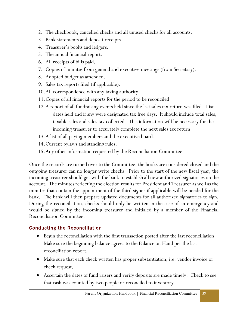- 2. The checkbook, cancelled checks and all unused checks for all accounts.
- 3. Bank statements and deposit receipts.
- 4. Treasurer's books and ledgers.
- 5. The annual financial report.
- 6. All receipts of bills paid.
- 7. Copies of minutes from general and executive meetings (from Secretary).
- 8. Adopted budget as amended.
- 9. Sales tax reports filed (if applicable).
- 10.All correspondence with any taxing authority.
- 11.Copies of all financial reports for the period to be reconciled.
- 12.A report of all fundraising events held since the last sales tax return was filed. List dates held and if any were designated tax free days. It should include total sales, taxable sales and sales tax collected. This information will be necessary for the incoming treasurer to accurately complete the next sales tax return.
- 13.A list of all paying members and the executive board.
- 14.Current bylaws and standing rules.
- 15.Any other information requested by the Reconciliation Committee.

Once the records are turned over to the Committee, the books are considered closed and the outgoing treasurer can no longer write checks. Prior to the start of the new fiscal year, the incoming treasurer should get with the bank to establish all new authorized signatories on the account. The minutes reflecting the election results for President and Treasurer as well as the minutes that contain the appointment of the third signer if applicable will be needed for the bank. The bank will then prepare updated documents for all authorized signatories to sign. During the reconciliation, checks should only be written in the case of an emergency and would be signed by the incoming treasurer and initialed by a member of the Financial Reconciliation Committee.

### <span id="page-41-0"></span>Conducting the Reconciliation

- Begin the reconciliation with the first transaction posted after the last reconciliation. Make sure the beginning balance agrees to the Balance on Hand per the last reconciliation report.
- Make sure that each check written has proper substantiation, i.e. vendor invoice or check request.
- Ascertain the dates of fund raisers and verify deposits are made timely. Check to see that cash was counted by two people or reconciled to inventory.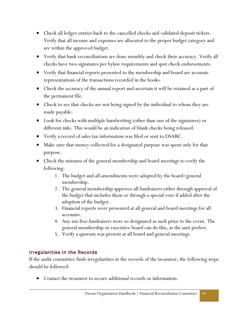- Check all ledger entries back to the cancelled checks and validated deposit tickets. Verify that all income and expenses are allocated to the proper budget category and are within the approved budget.
- Verify that bank reconciliations are done monthly and check their accuracy. Verify all checks have two signatures per bylaw requirements and spot check endorsements.
- Verify that financial reports presented to the membership and board are accurate representations of the transactions recorded in the books.
- Check the accuracy of the annual report and ascertain it will be retained as a part of the permanent file.
- Check to see that checks are not being signed by the individual to whom they are made payable.
- Look for checks with multiple handwriting (other than one of the signatures) or different inks. This would be an indication of blank checks being released.
- Verify a record of sales tax information was filed or sent to DSABC.
- Make sure that money collected for a designated purpose was spent only for that purpose.
- Check the minutes of the general membership and board meetings to verify the following:
	- 1. The budget and all amendments were adopted by the board/general membership.
	- 2. The general membership approves all fundraisers either through approval of the budget that includes them or through a special vote if added after the adoption of the budget.
	- 3. Financial reports were presented at all general and board meetings for all accounts.
	- 4. Any tax-free fundraisers were so designated as such prior to the event. The general membership or executive board can do this, as the unit prefers.
	- 5. Verify a quorum was present at all board and general meetings.

#### <span id="page-42-0"></span>Irregularities in the Records

If the audit committee finds irregularities in the records of the treasurer, the following steps should be followed:

Contact the treasurer to secure additional records or information.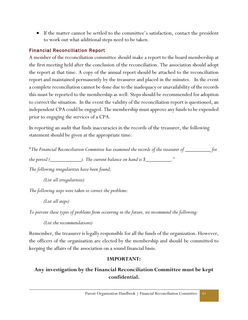If the matter cannot be settled to the committee's satisfaction, contact the president to work out what additional steps need to be taken.

#### <span id="page-43-0"></span>Financial Reconciliation Report

A member of the reconciliation committee should make a report to the board membership at the first meeting held after the conclusion of the reconciliation. The association should adopt the report at that time. A copy of the annual report should be attached to the reconciliation report and maintained permanently by the treasurer and placed in the minutes. In the event a complete reconciliation cannot be done due to the inadequacy or unavailability of the records this must be reported to the membership as well. Steps should be recommended for adoption to correct the situation. In the event the validity of the reconciliation report is questioned, an independent CPA could be engaged. The membership must approve any funds to be expended prior to engaging the services of a CPA.

In reporting an audit that finds inaccuracies in the records of the treasurer, the following statement should be given at the appropriate time:

"*The Financial Reconciliation Committee has examined the records of the treasurer of \_\_\_\_\_\_\_\_\_ for* 

*the period (\_\_\_\_\_\_\_\_\_\_\_\_\_\_). The current balance on hand is \$\_\_\_\_\_\_\_\_\_\_\_.* 

*The following irregularities have been found;*

*(List all irregularities)*

*The following steps were taken to correct the problems:*

*(List all steps)*

*To prevent these types of problems from occurring in the future, we recommend the following:*

*(List the recommendations)*

Remember, the treasurer is legally responsible for all the funds of the organization. However, the officers of the organization are elected by the membership and should be committed to keeping the affairs of the association on a sound financial basis.

#### **IMPORTANT:**

# **Any investigation by the Financial Reconciliation Committee must be kept confidential.**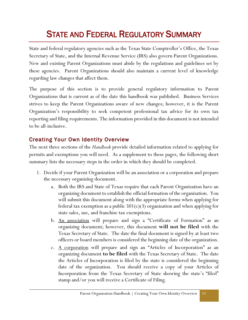# STATE AND FEDERAL REGULATORY SUMMARY

State and federal regulatory agencies such as the Texas State Comptroller's Office, the Texas Secretary of State, and the Internal Revenue Service (IRS) also govern Parent Organizations. New and existing Parent Organizations must abide by the regulations and guidelines set by these agencies. Parent Organizations should also maintain a current level of knowledge regarding law changes that affect them.

The purpose of this section is to provide general regulatory information to Parent Organizations that is current as of the date this handbook was published. Business Services strives to keep the Parent Organizations aware of new changes; however, it is the Parent Organization's responsibility to seek competent professional tax advice for its own tax reporting and filing requirements. The information provided in this document is not intended to be all-inclusive.

# <span id="page-44-0"></span>Creating Your Own Identity Overview

The next three sections of the *Handbook* provide detailed information related to applying for permits and exemptions you will need. As a supplement to these pages, the following short summary lists the necessary steps in the order in which they should be completed.

- 1. Decide if your Parent Organization will be an association or a corporation and prepare the necessary organizing document.
	- a. Both the IRS and State of Texas require that each Parent Organization have an organizing document to establish the official formation of the organization. You will submit this document along with the appropriate forms when applying for federal tax exemption as a public  $501(c)(3)$  organization and when applying for state sales, use, and franchise tax exemptions.
	- b. An association will prepare and sign a "Certificate of Formation" as an organizing document; however, this document **will not be filed** with the Texas Secretary of State. The date the final document is signed by at least two officers or board members is considered the beginning date of the organization.
	- c. A corporation will prepare and sign an "Articles of Incorporation" as an organizing document **to be filed** with the Texas Secretary of State. The date the Articles of Incorporation is filed by the state is considered the beginning date of the organization. You should receive a copy of your Articles of Incorporation from the Texas Secretary of State showing the state's "filed" stamp and/or you will receive a Certificate of Filing.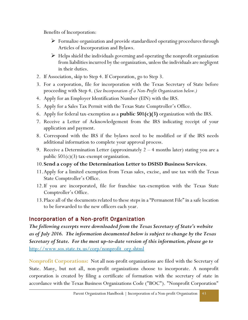Benefits of Incorporation:

- Formalize organization and provide standardized operating procedures through Articles of Incorporation and Bylaws.
- $\triangleright$  Helps shield the individuals governing and operating the nonprofit organization from liabilities incurred by the organization, unless the individuals are negligent in their duties.
- 2. If Association, skip to Step 4. If Corporation, go to Step 3.
- 3. For a corporation, file for incorporation with the Texas Secretary of State before proceeding with Step 4. (*See Incorporation of a Non-Profit Organization below.)*
- 4. Apply for an Employer Identification Number (EIN) with the IRS.
- 5. Apply for a Sales Tax Permit with the Texas State Comptroller's Office.
- 6. Apply for federal tax-exemption as a **public 501(c)(3)** organization with the IRS.
- 7. Receive a Letter of Acknowledgement from the IRS indicating receipt of your application and payment.
- 8. Correspond with the IRS if the bylaws need to be modified or if the IRS needs additional information to complete your approval process.
- 9. Receive a Determination Letter (approximately 2 4 months later) stating you are a public  $501(c)(3)$  tax-exempt organization.
- 10.**Send a copy of the Determination Letter to DSISD Business Services**.
- 11.Apply for a limited exemption from Texas sales, excise, and use tax with the Texas State Comptroller's Office.
- 12.If you are incorporated, file for franchise tax-exemption with the Texas State Comptroller's Office.
- 13.Place all of the documents related to these steps in a "Permanent File" in a safe location to be forwarded to the new officers each year.

# <span id="page-45-0"></span>Incorporation of a Non-profit Organization

*The following excerpts were downloaded from the Texas Secretary of State's website as of July 2016. The information documented below is subject to change by the Texas Secretary of State. For the most up-to-date version of this information, please go to*  [http://www.sos.state.tx.us/corp/nonprofit\\_org.shtml](http://www.sos.state.tx.us/corp/nonprofit_org.shtml)

**Nonprofit Corporations:** Not all non-profit organizations are filed with the Secretary of State. Many, but not all, non-profit organizations choose to incorporate. A nonprofit corporation is created by filing a certificate of formation with the secretary of state in accordance with the Texas Business Organizations Code ("BOC"). "Nonprofit Corporation"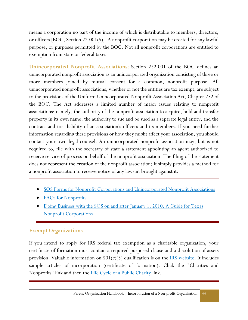means a corporation no part of the income of which is distributable to members, directors, or officers [BOC, Section 22.001(5)]. A nonprofit corporation may be created for any lawful purpose, or purposes permitted by the BOC. Not all nonprofit corporations are entitled to exemption from state or federal taxes.

**Unincorporated Nonprofit Associations**: Section 252.001 of the BOC defines an unincorporated nonprofit association as an unincorporated organization consisting of three or more members joined by mutual consent for a common, nonprofit purpose. All unincorporated nonprofit associations, whether or not the entities are tax exempt, are subject to the provisions of the Uniform Unincorporated Nonprofit Association Act, Chapter 252 of the BOC. The Act addresses a limited number of major issues relating to nonprofit associations; namely, the authority of the nonprofit association to acquire, hold and transfer property in its own name; the authority to sue and be sued as a separate legal entity; and the contract and tort liability of an association's officers and its members. If you need further information regarding these provisions or how they might affect your association, you should contact your own legal counsel. An unincorporated nonprofit association may, but is not required to, file with the secretary of state a statement appointing an agent authorized to receive service of process on behalf of the nonprofit association. The filing of the statement does not represent the creation of the nonprofit association; it simply provides a method for a nonprofit association to receive notice of any lawsuit brought against it.

- [SOS Forms for Nonprofit Corporations and Unincorporated Nonprofit Associations](http://www.sos.state.tx.us/corp/forms_option.shtml)
- [FAQs for Nonprofits](http://www.sos.state.tx.us/corp/nonprofitfaqs.shtml)
- Doing Business with the SOS on and after January 1, 2010: A Guide for Texas [Nonprofit Corporations](http://www.sos.state.tx.us/corp/forms/boc/boc-np-2010.pdf)

#### **Exempt Organizations**

If you intend to apply for IRS federal tax exemption as a charitable organization, your certificate of formation must contain a required purposed clause and a dissolution of assets provision. Valuable information on  $501(c)(3)$  qualification is on the [IRS website.](http://www.irs.gov/) It includes sample articles of incorporation (certificate of formation). Click the "Charities and Nonprofits" link and then the [Life Cycle of a Public Charity](http://www.irs.gov/charities/charitable/article/0,,id=122670,00.html) link.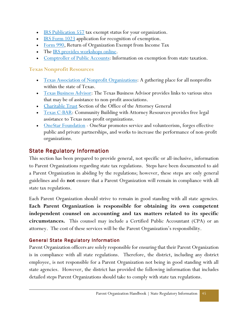- [IRS Publication 557](http://www.irs.gov/pub/irs-pdf/p557.pdf) tax exempt status for your organization.
- $\cdot$  [IRS Form 1023](https://www.stayexempt.irs.gov/Starting-Out/Interactive-Form-1023-Prerequisite-Questions) application for recognition of exemption.
- [Form 990,](https://www.irs.gov/pub/irs-pdf/f990.pdf) Return of Organization Exempt from Income Tax
- The <u>IRS provides workshops online</u>.
- [Comptroller of Public Accounts:](http://www.cpa.state.tx.us/taxinfo/exempt/index.html) Information on exemption from state taxation.

#### **Texas Nonprofit Resources**

- [Texas Association of Nonprofit Organizations:](http://www.tano.org/) A gathering place for all nonprofits within the state of Texas.
- [Texas Business Advisor:](http://www.window.state.tx.us/tba/) The Texas Business Advisor provides links to various sites that may be of assistance to non-profit associations.
- [Charitable Trust](http://www.oag.state.tx.us/consumer/nonprofits.shtml) Section of the Office of the Attorney General
- [Texas C-BAR:](http://www.texascbar.org/) Community Building with Attorney Resources provides free legal assistance to Texas non-profit organizations.
- **[OneStar Foundation](http://www.onestarfoundation.org/)** OneStar promotes service and volunteerism, forges effective public and private partnerships, and works to increase the performance of non-profit organizations.

# <span id="page-47-0"></span>State Regulatory Information

This section has been prepared to provide general, not specific or all-inclusive, information to Parent Organizations regarding state tax regulations. Steps have been documented to aid a Parent Organization in abiding by the regulations; however, these steps are only general guidelines and do **not** ensure that a Parent Organization will remain in compliance with all state tax regulations.

Each Parent Organization should strive to remain in good standing with all state agencies. **Each Parent Organization is responsible for obtaining its own competent independent counsel on accounting and tax matters related to its specific circumstances.** This counsel may include a Certified Public Accountant (CPA) or an attorney. The cost of these services will be the Parent Organization's responsibility.

#### <span id="page-47-1"></span>General State Regulatory Information

Parent Organization officers are solely responsible for ensuring that their Parent Organization is in compliance with all state regulations. Therefore, the district, including any district employee, is not responsible for a Parent Organization not being in good standing with all state agencies. However, the district has provided the following information that includes detailed steps Parent Organizations should take to comply with state tax regulations.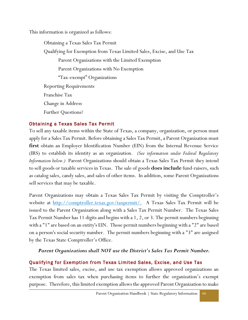This information is organized as follows:

Obtaining a Texas Sales Tax Permit Qualifying for Exemption from Texas Limited Sales, Excise, and Use Tax Parent Organizations with the Limited Exemption Parent Organizations with No Exemption "Tax-exempt" Organizations Reporting Requirements Franchise Tax Change in Address Further Questions?

#### <span id="page-48-0"></span>Obtaining a Texas Sales Tax Permit

To sell any taxable items within the State of Texas, a company, organization, or person must apply for a Sales Tax Permit. Before obtaining a Sales Tax Permit, a Parent Organization must **first** obtain an Employer Identification Number (EIN) from the Internal Revenue Service (IRS) to establish its identity as an organization*. (See information under Federal Regulatory Information below.)* Parent Organizations should obtain a Texas Sales Tax Permit they intend to sell goods or taxable services in Texas. The sale of goods **does include** fund-raisers, such as catalog sales, candy sales, and sales of other items. In addition, some Parent Organizations sell services that may be taxable.

Parent Organizations may obtain a Texas Sales Tax Permit by visiting the Comptroller's website at [http://comptroller.texas.gov/taxpermit/.](http://comptroller.texas.gov/taxpermit/) A Texas Sales Tax Permit will be issued to the Parent Organization along with a Sales Tax Permit Number. The Texas Sales Tax Permit Number has 11 digits and begins with a 1, 2, or 3. The permit numbers beginning with a "1" are based on an entity's EIN. Those permit numbers beginning with a "2" are based on a person's social security number. The permit numbers beginning with a "3" are assigned by the Texas State Comptroller's Office.

#### *Parent Organizations shall NOT use the District's Sales Tax Permit Number.*

#### <span id="page-48-1"></span>Qualifying for Exemption from Texas Limited Sales, Excise, and Use Tax

The Texas limited sales, excise, and use tax exemption allows approved organizations an exemption from sales tax when purchasing items to further the organization's exempt purpose. Therefore, this limited exemption allows the approved Parent Organization to make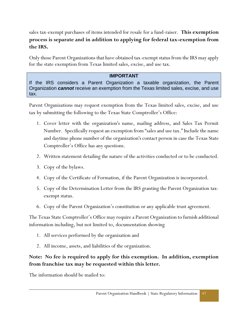sales tax-exempt purchases of items intended for resale for a fund-raiser. **This exemption process is separate and in addition to applying for federal tax-exemption from the IRS.**

Only those Parent Organizations that have obtained tax-exempt status from the IRS may apply for the state exemption from Texas limited sales, excise, and use tax.

#### **IMPORTANT**

If the IRS considers a Parent Organization a taxable organization, the Parent Organization *cannot* receive an exemption from the Texas limited sales, excise, and use tax.

Parent Organizations may request exemption from the Texas limited sales, excise, and use tax by submitting the following to the Texas State Comptroller's Office:

- 1. Cover letter with the organization's name, mailing address, and Sales Tax Permit Number. Specifically request an exemption from "sales and use tax." Include the name and daytime phone number of the organization's contact person in case the Texas State Comptroller's Office has any questions.
- 2. Written statement detailing the nature of the activities conducted or to be conducted.
- 3. Copy of the bylaws.
- 4. Copy of the Certificate of Formation, if the Parent Organization is incorporated.
- 5. Copy of the Determination Letter from the IRS granting the Parent Organization taxexempt status.
- 6. Copy of the Parent Organization's constitution or any applicable trust agreement.

The Texas State Comptroller's Office may require a Parent Organization to furnish additional information including, but not limited to, documentation showing

- 1. All services performed by the organization and
- 2. All income, assets, and liabilities of the organization.

#### **Note: No fee is required to apply for this exemption. In addition, exemption from franchise tax may be requested within this letter.**

The information should be mailed to: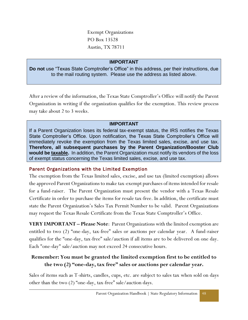Exempt Organizations PO Box 13528 Austin, TX 78711

#### **IMPORTANT**

**Do not** use "Texas State Comptroller's Office" in this address, per their instructions, due to the mail routing system. Please use the address as listed above.

After a review of the information, the Texas State Comptroller's Office will notify the Parent Organization in writing if the organization qualifies for the exemption. This review process may take about 2 to 3 weeks.

#### **IMPORTANT**

If a Parent Organization loses its federal tax-exempt status, the IRS notifies the Texas State Comptroller's Office. Upon notification, the Texas State Comptroller's Office will immediately revoke the exemption from the Texas limited sales, excise, and use tax. **Therefore, all subsequent purchases by the Parent Organization/Booster Club would be taxable.** In addition, the Parent Organization must notify its vendors of the loss of exempt status concerning the Texas limited sales, excise, and use tax.

#### <span id="page-50-0"></span>Parent Organizations with the Limited Exemption

The exemption from the Texas limited sales, excise, and use tax (limited exemption) allows the approved Parent Organizations to make tax-exempt purchases of items intended for resale for a fund-raiser. The Parent Organization must present the vendor with a Texas Resale Certificate in order to purchase the items for resale tax-free. In addition, the certificate must state the Parent Organization's Sales Tax Permit Number to be valid. Parent Organizations may request the Texas Resale Certificate from the Texas State Comptroller's Office.

**VERY IMPORTANT – Please Note**: Parent Organizations with the limited exemption are entitled to two (2) "one-day, tax-free" sales or auctions per calendar year. A fund-raiser qualifies for the "one-day, tax-free" sale/auction if all items are to be delivered on one day. Each "one-day" sale/auction may not exceed 24 consecutive hours.

### **Remember: You must be granted the limited exemption first to be entitled to the two (2) "one-day, tax free" sales or auctions per calendar year.**

Sales of items such as T-shirts, candles, cups, etc. are subject to sales tax when sold on days other than the two (2) "one-day, tax-free" sale/auction days.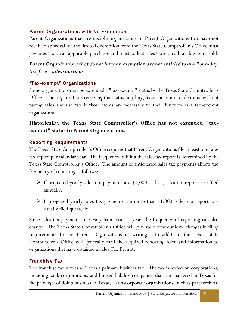#### <span id="page-51-0"></span>Parent Organizations with No Exemption

Parent Organizations that are taxable organizations or Parent Organizations that have not received approval for the limited exemption from the Texas State Comptroller's Office must pay sales tax on all applicable purchases and must collect sales taxes on all taxable items sold.

#### *Parent Organizations that do not have an exemption are not entitled to any "one-day, tax-free" sales/auctions.*

#### <span id="page-51-1"></span>"Tax-exempt" Organizations

Some organizations may be extended a "tax-exempt" status by the Texas State Comptroller's Office. The organizations receiving this status may buy, lease, or rent taxable items without paying sales and use tax if those items are necessary to their function as a tax-exempt organization.

#### **Historically, the Texas State Comptroller's Office has not extended "taxexempt" status to Parent Organizations.**

#### <span id="page-51-2"></span>Reporting Requirements

The Texas State Comptroller's Office requires that Parent Organizations file at least one sales tax report per calendar year. The frequency of filing the sales tax report is determined by the Texas State Comptroller's Office. The amount of anticipated sales tax payments affects the frequency of reporting as follows:

- $\triangleright$  If projected yearly sales tax payments are \$1,000 or less, sales tax reports are filed annually.
- $\triangleright$  If projected yearly sales tax payments are more than \$1,000, sales tax reports are usually filed quarterly.

Since sales tax payments may vary from year to year, the frequency of reporting can also change. The Texas State Comptroller's Office will generally communicate changes in filing requirements to the Parent Organizations in writing. In addition, the Texas State Comptroller's Office will generally mail the required reporting form and information to organizations that have obtained a Sales Tax Permit.

#### <span id="page-51-3"></span>Franchise Tax

The franchise tax serves as Texas's primary business tax. The tax is levied on corporations, including bank corporations, and limited liability companies that are chartered in Texas for the privilege of doing business in Texas. Non-corporate organizations, such as partnerships,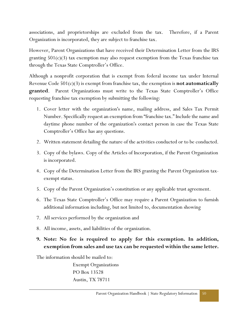associations, and proprietorships are excluded from the tax. Therefore, if a Parent Organization is incorporated, they are subject to franchise tax.

However, Parent Organizations that have received their Determination Letter from the IRS granting  $501(c)(3)$  tax exemption may also request exemption from the Texas franchise tax through the Texas State Comptroller's Office.

Although a nonprofit corporation that is exempt from federal income tax under Internal Revenue Code 501(c)(3) is exempt from franchise tax, the exemption is **not automatically granted**. Parent Organizations must write to the Texas State Comptroller's Office requesting franchise tax exemption by submitting the following:

- 1. Cover letter with the organization's name, mailing address, and Sales Tax Permit Number. Specifically request an exemption from "franchise tax." Include the name and daytime phone number of the organization's contact person in case the Texas State Comptroller's Office has any questions.
- 2. Written statement detailing the nature of the activities conducted or to be conducted.
- 3. Copy of the bylaws. Copy of the Articles of Incorporation, if the Parent Organization is incorporated.
- 4. Copy of the Determination Letter from the IRS granting the Parent Organization taxexempt status.
- 5. Copy of the Parent Organization's constitution or any applicable trust agreement.
- 6. The Texas State Comptroller's Office may require a Parent Organization to furnish additional information including, but not limited to, documentation showing
- 7. All services performed by the organization and
- 8. All income, assets, and liabilities of the organization.
- **9. Note: No fee is required to apply for this exemption. In addition, exemption from sales and use tax can be requested within the same letter.**

The information should be mailed to:

Exempt Organizations PO Box 13528 Austin, TX 78711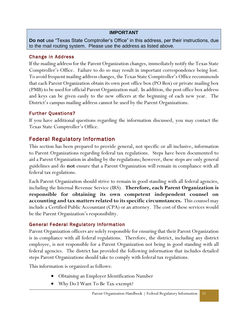#### **IMPORTANT**

**Do not** use "Texas State Comptroller's Office" in this address, per their instructions, due to the mail routing system. Please use the address as listed above.

#### <span id="page-53-0"></span>Change in Address

If the mailing address for the Parent Organization changes, immediately notify the Texas State Comptroller's Office. Failure to do so may result in important correspondence being lost. To avoid frequent mailing address changes, the Texas State Comptroller's Office recommends that each Parent Organization obtain its own post office box (PO Box) or private mailing box (PMB) to be used for official Parent Organization mail. In addition, the post office box address and keys can be given easily to the new officers at the beginning of each new year. The District's campus mailing address cannot be used by the Parent Organizations.

#### <span id="page-53-1"></span>Further Questions?

If you have additional questions regarding the information discussed, you may contact the Texas State Comptroller's Office.

# <span id="page-53-2"></span>Federal Regulatory Information

This section has been prepared to provide general, not specific or all-inclusive, information to Parent Organizations regarding federal tax regulations. Steps have been documented to aid a Parent Organization in abiding by the regulations; however, these steps are only general guidelines and do **not** ensure that a Parent Organization will remain in compliance with all federal tax regulations.

Each Parent Organization should strive to remain in good standing with all federal agencies, including the Internal Revenue Service (IRS). **Therefore, each Parent Organization is responsible for obtaining its own competent independent counsel on accounting and tax matters related to its specific circumstances.** This counsel may include a Certified Public Accountant (CPA) or an attorney. The cost of these services would be the Parent Organization's responsibility.

#### <span id="page-53-3"></span>General Federal Regulatory Information

Parent Organization officers are solely responsible for ensuring that their Parent Organization is in compliance with all federal regulations. Therefore, the district, including any district employee, is not responsible for a Parent Organization not being in good standing with all federal agencies. The district has provided the following information that includes detailed steps Parent Organizations should take to comply with federal tax regulations.

This information is organized as follows:

- Obtaining an Employer Identification Number
- Why Do I Want To Be Tax-exempt?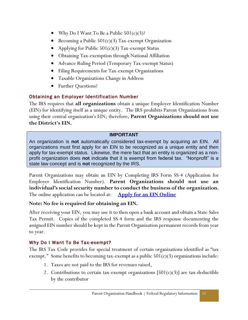- Why Do I Want To Be a Public  $501(c)(3)$ ?
- Becoming a Public  $501(c)(3)$  Tax-exempt Organization
- Applying for Public  $501(c)(3)$  Tax-exempt Status
- Obtaining Tax-exemption through National Affiliation
- Advance Ruling Period (Temporary Tax-exempt Status)
- Filing Requirements for Tax-exempt Organizations
- Taxable Organizations Change in Address
- Further Questions?

#### <span id="page-54-0"></span>Obtaining an Employer Identification Number

The IRS requires that **all organizations** obtain a unique Employer Identification Number (EIN) for identifying itself as a unique entity. The IRS prohibits Parent Organizations from using their central organization's EIN; therefore, **Parent Organizations should not use the District's EIN.**

#### **IMPORTANT**

An organization is **not** automatically considered tax-exempt by acquiring an EIN. All organizations must first apply for an EIN to be recognized as a unique entity and then apply for tax-exempt status. Likewise, the mere fact that an entity is organized as a nonprofit organization does **not** indicate that it is exempt from federal tax. "Nonprofit" is a state law concept and is **not** recognized by the IRS.

Parent Organizations may obtain an EIN by Completing IRS Form SS-4 (Application for Employer Identification Number). **Parent Organizations should not use an individual's social security number to conduct the business of the organization.** The online application can be located at: **[Apply for an EIN Online](http://www.irs.gov/businesses/small/article/0,,id=102767,00.html)**

#### **Note: No fee is required for obtaining an EIN.**

After receiving your EIN, you may use it to then open a bank account and obtain a State Sales Tax Permit. Copies of the completed SS-4 form and the IRS response documenting the assigned EIN number should be kept in the Parent Organization permanent records from year to year.

#### <span id="page-54-1"></span>Why Do I Want To Be Tax-exempt?

The IRS Tax Code provides for special treatment of certain organizations identified as "tax exempt." Some benefits to becoming tax-exempt as a public  $501(c)(3)$  organizations include:

- 1. Taxes are not paid to the IRS for revenues raised,
- 2. Contributions to certain tax-exempt organizations  $[501(c)(3)]$  are tax-deductible by the contributor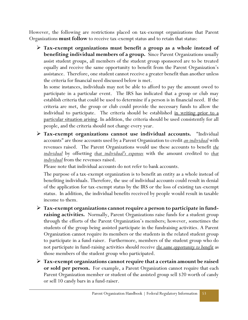However, the following are restrictions placed on tax-exempt organizations that Parent Organizations **must follow** to receive tax-exempt status and to retain that status:

 **Tax-exempt organizations must benefit a group as a whole instead of benefiting individual members of a group.** Since Parent Organizations usually assist student groups, all members of the student group sponsored are to be treated equally and receive the same opportunity to benefit from the Parent Organization's assistance. Therefore, one student cannot receive a greater benefit than another unless the criteria for financial need discussed below is met.

In some instances, individuals may not be able to afford to pay the amount owed to participate in a particular event. The IRS has indicated that a group or club may establish criteria that could be used to determine if a person is in financial need. If the criteria are met, the group or club could provide the necessary funds to allow the individual to participate. The criteria should be established <u>in writing prior to a</u> particular situation arising. In addition, the criteria should be used consistently for all people, and the criteria should not change every year.

 **Tax-exempt organizations cannot use individual accounts.** "Individual accounts" are those accounts used by a Parent Organization to credit *an individual* with revenues raised. The Parent Organizations would use these accounts to benefit *the individual* by offsetting *that individual's expenses* with the amount credited to *that individual* from the revenues raised.

Please note that individual accounts do not refer to bank accounts.

The purpose of a tax-exempt organization is to benefit an entity as a whole instead of benefiting individuals. Therefore, the use of individual accounts could result in denial of the application for tax-exempt status by the IRS or the loss of existing tax-exempt status. In addition, the individual benefits received by people would result in taxable income to them.

- **Tax-exempt organizations cannot require a person to participate in fundraising activities.** Normally, Parent Organizations raise funds for a student group through the efforts of the Parent Organization's members; however, sometimes the students of the group being assisted participate in the fundraising activities. A Parent Organization cannot require its members or the students in the related student group to participate in a fund-raiser. Furthermore, members of the student group who do not participate in fund-raising activities should receive *the same opportunity to benefit* as those members of the student group who participated.
- **Tax-exempt organizations cannot require that a certain amount be raised or sold per person.** For example, a Parent Organization cannot require that each Parent Organization member or student of the assisted group sell \$20 worth of candy or sell 10 candy bars in a fund-raiser.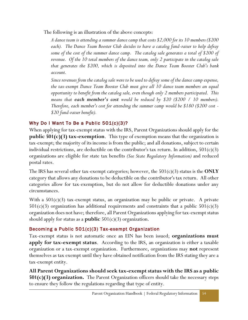The following is an illustration of the above concepts:

*A dance team is attending a summer dance camp that costs \$2,000 for its 10 members (\$200 each). The Dance Team Booster Club decides to have a catalog fund-raiser to help defray some of the cost of the summer dance camp. The catalog sale generates a total of \$200 of revenue. Of the 10 total members of the dance team, only 2 participate in the catalog sale that generates the \$200, which is deposited into the Dance Team Booster Club's bank account.*

*Since revenues from the catalog sale were to be used to defray some of the dance camp expense, the tax-exempt Dance Team Booster Club must give all 10 dance team members an equal opportunity to benefit from the catalog sale, even though only 2 members participated. This means that each member's cost would be reduced by \$20 (\$200 / 10 members). Therefore, each member's cost for attending the summer camp would be \$180 (\$200 cost - \$20 fund-raiser benefit).*

### <span id="page-56-0"></span>Why Do I Want To Be a Public 501(c)(3)?

When applying for tax-exempt status with the IRS, Parent Organizations should apply for the **public 501(c)(3) tax-exemption**. This type of exemption means that the organization is tax-exempt; the majority of its income is from the public; and all donations, subject to certain individual restrictions, are deductible on the contributor's tax return. In addition,  $501(c)(3)$ organizations are eligible for state tax benefits *(See State Regulatory Information)* and reduced postal rates.

The IRS has several other tax-exempt categories; however, the 501(c)(3) status is the **ONLY**  category that allows any donations to be deductible on the contributor's tax return. All other categories allow for tax-exemption, but do not allow for deductible donations under any circumstances.

With a  $501(c)(3)$  tax-exempt status, an organization may be public or private. A private  $501(c)(3)$  organization has additional requirements and constraints that a public  $501(c)(3)$ organization does not have; therefore, all Parent Organizations applying for tax-exempt status should apply for status as a **public** 501(c)(3) organization.

#### <span id="page-56-1"></span>Becoming a Public 501(c)(3) Tax -exempt Organization

Tax-exempt status is not automatic once an EIN has been issued; **organizations must apply for tax-exempt status**. According to the IRS, an organization is either a taxable organization or a tax-exempt organization. Furthermore, organizations may **not** represent themselves as tax exempt until they have obtained notification from the IRS stating they are a tax-exempt entity.

**All Parent Organizations should seek tax-exempt status with the IRS as a public 501(c)(3) organization.** The Parent Organization officers should take the necessary steps to ensure they follow the regulations regarding that type of entity.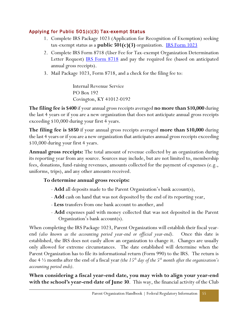#### <span id="page-57-0"></span>Applying for Public 501(c)(3) Tax -exempt Status

- 1. Complete IRS Package 1023 (Application for Recognition of Exemption) seeking tax-exempt status as a **public 501(c)(3)** organization. [IRS Form 1023](https://www.irs.gov/uac/about-form-1023)
- 2. Complete IRS Form 8718 (User Fee for Tax-exempt Organization Determination Letter Request) **IRS Form 8718** and pay the required fee (based on anticipated annual gross receipts).
- 3. Mail Package 1023, Form 8718, and a check for the filing fee to:

Internal Revenue Service PO Box 192 Covington, KY 41012-0192

**The filing fee is \$400** if your annual gross receipts averaged **no more than \$10,000** during the last 4 years or if you are a new organization that does not anticipate annual gross receipts exceeding \$10,000 during your first 4 years.

**The filing fee is \$850** if your annual gross receipts averaged **more than \$10,000** during the last 4 years or if you are a new organization that anticipates annual gross receipts exceeding \$10,000 during your first 4 years.

**Annual gross receipts:** The total amount of revenue collected by an organization during its reporting year from any source. Sources may include, but are not limited to, membership fees, donations, fund-raising revenues, amounts collected for the payment of expenses (e.g., uniforms, trips), and any other amounts received.

#### **To determine annual gross receipts:**

- **Add** all deposits made to the Parent Organization's bank account(s),
- **Add** cash on hand that was not deposited by the end of its reporting year,
- **Less** transfers from one bank account to another, and
- **Add** expenses paid with money collected that was not deposited in the Parent Organization's bank account(s).

When completing the IRS Package 1023, Parent Organizations will establish their fiscal yearend *(also known as the accounting period year-end or official year-end)*. Once this date is established, the IRS does not easily allow an organization to change it. Changes are usually only allowed for extreme circumstances. The date established will determine when the Parent Organization has to file its informational return (Form 990) to the IRS. The return is due 4 ½ months after the end of a fiscal year *(the 15th day of the 5th month after the organization's accounting period ends)*.

**When considering a fiscal year-end date, you may wish to align your year-end with the school's year-end date of June 30**. This way, the financial activity of the Club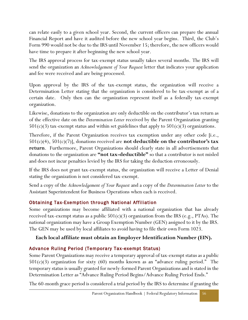can relate easily to a given school year. Second, the current officers can prepare the annual Financial Report and have it audited before the new school year begins. Third, the Club's Form 990 would not be due to the IRS until November 15; therefore, the new officers would have time to prepare it after beginning the new school year.

The IRS approval process for tax-exempt status usually takes several months. The IRS will send the organization an *Acknowledgement of Your Request* letter that indicates your application and fee were received and are being processed.

Upon approval by the IRS of the tax-exempt status, the organization will receive a Determination Letter stating that the organization is considered to be tax-exempt as of a certain date. Only then can the organization represent itself as a federally tax-exempt organization.

Likewise, donations to the organization are only deductible on the contributor's tax return as of the effective date on the *Determination Letter* received by the Parent Organization granting  $501(c)(3)$  tax-exempt status and within set guidelines that apply to  $501(c)(3)$  organizations.

Therefore, if the Parent Organization receives tax exemption under any other code [i.e.,  $501(c)(4)$ ,  $501(c)(7)$ ], donations received are **not deductible on the contributor's tax return**. Furthermore, Parent Organizations should clearly state in all advertisements that donations to the organization are **"not tax-deductible"** so that a contributor is not misled and does not incur penalties levied by the IRS for taking the deduction erroneously.

If the IRS does not grant tax-exempt status, the organization will receive a Letter of Denial stating the organization is not considered tax-exempt.

Send a copy of the *Acknowledgement of Your Request* and a copy of the *Determination Letter* to the Assistant Superintendent for Business Operations when each is received.

### <span id="page-58-0"></span>Obtaining Tax-Exemption through National Affiliation

Some organizations may become affiliated with a national organization that has already received tax-exempt status as a public  $501(c)(3)$  organization from the IRS (e.g., PTAs). The national organization may have a Group Exemption Number (GEN) assigned to it by the IRS. The GEN may be used by local affiliates to avoid having to file their own Form 1023.

#### **Each local affiliate must obtain an Employer Identification Number (EIN).**

### <span id="page-58-1"></span>Advance Ruling Period (Temporary Tax-exempt Status)

Some Parent Organizations may receive a temporary approval of tax-exempt status as a public  $501(c)(3)$  organization for sixty (60) months known as an "advance ruling period." The temporary status is usually granted for newly-formed Parent Organizations and is stated in the Determination Letter as "Advance Ruling Period Begins/Advance Ruling Period Ends."

The 60-month grace period is considered a trial period by the IRS to determine if granting the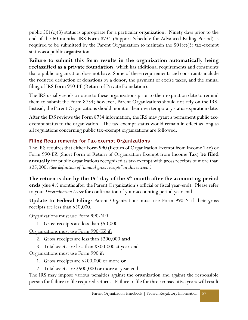public  $501(c)(3)$  status is appropriate for a particular organization. Ninety days prior to the end of the 60 months, IRS Form 8734 (Support Schedule for Advanced Ruling Period) is required to be submitted by the Parent Organization to maintain the  $501(c)(3)$  tax-exempt status as a public organization.

**Failure to submit this form results in the organization automatically being reclassified as a private foundation**, which has additional requirements and constraints that a public organization does not have. Some of these requirements and constraints include the reduced deduction of donations by a donor, the payment of excise taxes, and the annual filing of IRS Form 990-PF (Return of Private Foundation).

The IRS usually sends a notice to these organizations prior to their expiration date to remind them to submit the Form 8734; however, Parent Organizations should not rely on the IRS. Instead, the Parent Organizations should monitor their own temporary status expiration date.

After the IRS reviews the Form 8734 information, the IRS may grant a permanent public taxexempt status to the organization. The tax-exempt status would remain in effect as long as all regulations concerning public tax-exempt organizations are followed.

### <span id="page-59-0"></span>Filing Requirements for Tax-exempt Organizations

The IRS requires that either Form 990 (Return of Organization Exempt from Income Tax) or Form 990-EZ (Short Form of Return of Organization Exempt from Income Tax) **be filed annually** for public organizations recognized as tax-exempt with gross receipts of more than \$25,000. *(See definition of "annual gross receipts" in this section.)*

**The return is due by the 15th day of the 5th month after the accounting period ends** (due 4½ months after the Parent Organization's official or fiscal year-end). Please refer to your *Determination Letter* for confirmation of your accounting period year-end.

**Update to Federal Filing**: Parent Organizations must use Form 990-N if their gross receipts are less than \$50,000.

Organizations must use Form 990-N if:

1. Gross receipts are less than \$50,000.

Organizations must use Form 990-EZ if:

- 2. Gross receipts are less than \$200,000 **and**
- 3. Total assets are less than \$500,000 at year-end.

Organizations must use Form 990 if:

- 1. Gross receipts are \$200,000 or more **or**
- 2. Total assets are \$500,000 or more at year-end.

The IRS may impose various penalties against the organization and against the responsible person for failure to file required returns. Failure to file for three consecutive years will result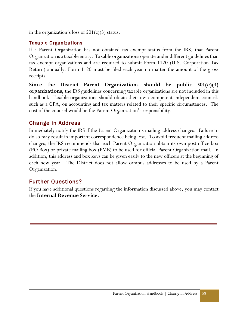in the organization's loss of  $501(c)(3)$  status.

#### <span id="page-60-0"></span>Taxable Organizations

If a Parent Organization has not obtained tax-exempt status from the IRS, that Parent Organization is a taxable entity. Taxable organizations operate under different guidelines than tax-exempt organizations and are required to submit Form 1120 (U.S. Corporation Tax Return) annually. Form 1120 must be filed each year no matter the amount of the gross receipts.

**Since the District Parent Organizations should be public 501(c)(3) organizations,** the IRS guidelines concerning taxable organizations are not included in this handbook. Taxable organizations should obtain their own competent independent counsel, such as a CPA, on accounting and tax matters related to their specific circumstances. The cost of the counsel would be the Parent Organization's responsibility.

# <span id="page-60-1"></span>Change in Address

Immediately notify the IRS if the Parent Organization's mailing address changes. Failure to do so may result in important correspondence being lost. To avoid frequent mailing address changes, the IRS recommends that each Parent Organization obtain its own post office box (PO Box) or private mailing box (PMB) to be used for official Parent Organization mail. In addition, this address and box keys can be given easily to the new officers at the beginning of each new year. The District does not allow campus addresses to be used by a Parent Organization.

# <span id="page-60-2"></span>Further Questions?

If you have additional questions regarding the information discussed above, you may contact the **Internal Revenue Service.**